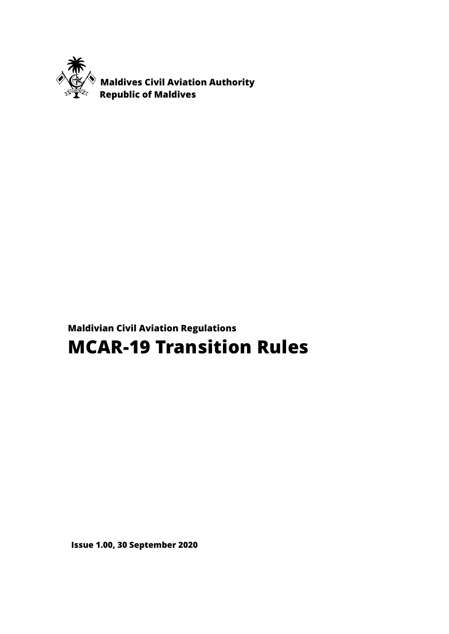

 **Maldives Civil Aviation Authority Republic of Maldives**

# **Maldivian Civil Aviation Regulations MCAR-19 Transition Rules**

**Issue 1.00, 30 September 2020**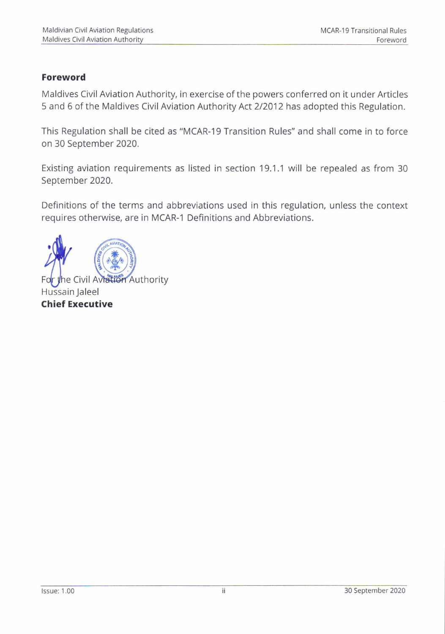#### Foreword

Maldives Civil Aviation Authority, in exercise of the powers conferred on it under Articles 5 and 6 of the Maldives Civil Aviation Authority Act 2/2012 has adopted this Regulation.

This Regulation shall be cited as "MCAR-19 Transition Rules" and shall come in to force on 30 September 202Q,

Existing aviation requirements as listed in section 19.1.1 will be repealed as from 30 September 2020.

Definitions of the terms and abbreviations used in this regulation, unless the context requires otherwise, are in MCAR-1 Definitions and Abbreviations.

For the Civil Aviation Authority Hussain Jaleel Chief Executive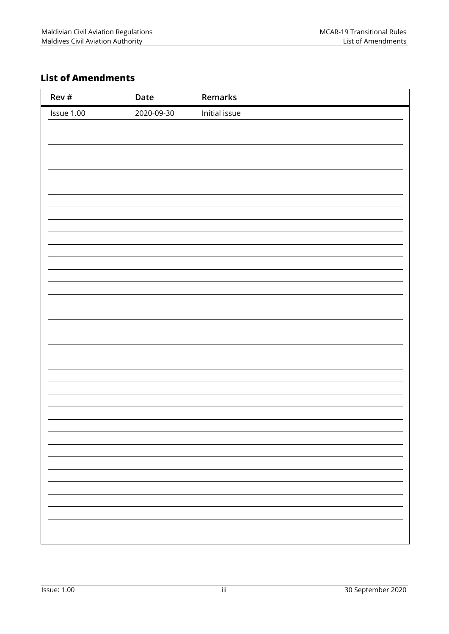## **List of Amendments**

| Rev #      | Date       | Remarks       |
|------------|------------|---------------|
| Issue 1.00 | 2020-09-30 | Initial issue |
|            |            |               |
|            |            |               |
|            |            |               |
|            |            |               |
|            |            |               |
|            |            |               |
|            |            |               |
|            |            |               |
|            |            |               |
|            |            |               |
|            |            |               |
|            |            |               |
|            |            |               |
|            |            |               |
|            |            |               |
|            |            |               |
|            |            |               |
|            |            |               |
|            |            |               |
|            |            |               |
|            |            |               |
|            |            |               |
|            |            |               |
|            |            |               |
|            |            |               |
|            |            |               |
|            |            |               |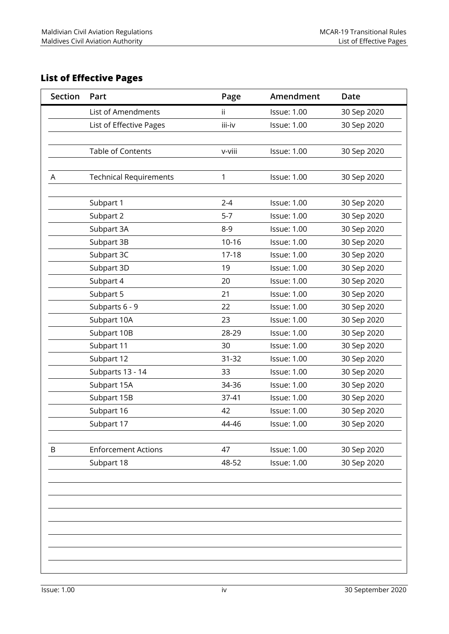## **List of Effective Pages**

| <b>Section</b> | Part                          | Page      | Amendment          | Date        |
|----------------|-------------------------------|-----------|--------------------|-------------|
|                | List of Amendments            | ii.       | <b>Issue: 1.00</b> | 30 Sep 2020 |
|                | List of Effective Pages       | iii-iv    | <b>Issue: 1.00</b> | 30 Sep 2020 |
|                |                               |           |                    |             |
|                | Table of Contents             | v-viii    | <b>Issue: 1.00</b> | 30 Sep 2020 |
|                |                               |           |                    |             |
| A              | <b>Technical Requirements</b> | 1         | <b>Issue: 1.00</b> | 30 Sep 2020 |
|                |                               |           |                    |             |
|                | Subpart 1                     | $2 - 4$   | <b>Issue: 1.00</b> | 30 Sep 2020 |
|                | Subpart 2                     | $5 - 7$   | <b>Issue: 1.00</b> | 30 Sep 2020 |
|                | Subpart 3A                    | $8 - 9$   | <b>Issue: 1.00</b> | 30 Sep 2020 |
|                | Subpart 3B                    | $10 - 16$ | <b>Issue: 1.00</b> | 30 Sep 2020 |
|                | Subpart 3C                    | $17 - 18$ | <b>Issue: 1.00</b> | 30 Sep 2020 |
|                | Subpart 3D                    | 19        | <b>Issue: 1.00</b> | 30 Sep 2020 |
|                | Subpart 4                     | 20        | <b>Issue: 1.00</b> | 30 Sep 2020 |
|                | Subpart 5                     | 21        | <b>Issue: 1.00</b> | 30 Sep 2020 |
|                | Subparts 6 - 9                | 22        | <b>Issue: 1.00</b> | 30 Sep 2020 |
|                | Subpart 10A                   | 23        | <b>Issue: 1.00</b> | 30 Sep 2020 |
|                | Subpart 10B                   | 28-29     | <b>Issue: 1.00</b> | 30 Sep 2020 |
|                | Subpart 11                    | 30        | <b>Issue: 1.00</b> | 30 Sep 2020 |
|                | Subpart 12                    | 31-32     | <b>Issue: 1.00</b> | 30 Sep 2020 |
|                | Subparts 13 - 14              | 33        | <b>Issue: 1.00</b> | 30 Sep 2020 |
|                | Subpart 15A                   | 34-36     | <b>Issue: 1.00</b> | 30 Sep 2020 |
|                | Subpart 15B                   | 37-41     | <b>Issue: 1.00</b> | 30 Sep 2020 |
|                | Subpart 16                    | 42        | <b>Issue: 1.00</b> | 30 Sep 2020 |
|                | Subpart 17                    | 44-46     | <b>Issue: 1.00</b> | 30 Sep 2020 |
|                |                               |           |                    |             |
| B              | <b>Enforcement Actions</b>    | 47        | <b>Issue: 1.00</b> | 30 Sep 2020 |
|                | Subpart 18                    | 48-52     | <b>Issue: 1.00</b> | 30 Sep 2020 |
|                |                               |           |                    |             |
|                |                               |           |                    |             |
|                |                               |           |                    |             |
|                |                               |           |                    |             |
|                |                               |           |                    |             |
|                |                               |           |                    |             |
|                |                               |           |                    |             |
|                |                               |           |                    |             |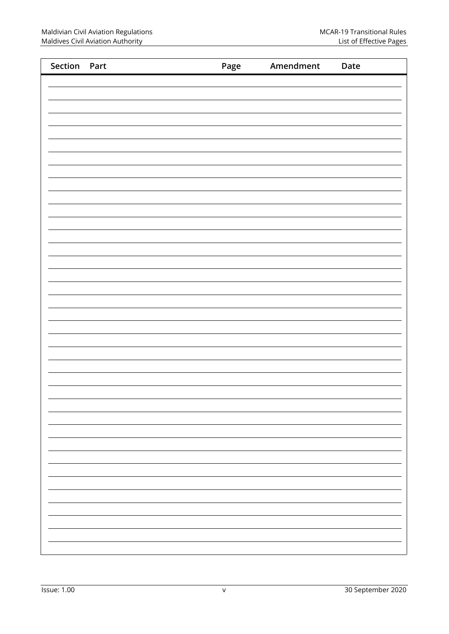| Section Part | Page | Amendment | Date                     |
|--------------|------|-----------|--------------------------|
|              |      |           |                          |
|              |      |           |                          |
|              |      |           |                          |
|              |      |           |                          |
|              |      |           |                          |
|              |      |           |                          |
|              |      |           |                          |
|              |      |           |                          |
|              |      |           |                          |
|              |      |           |                          |
|              |      |           |                          |
|              |      |           |                          |
|              |      |           |                          |
|              |      |           |                          |
|              |      |           |                          |
|              |      |           |                          |
|              |      |           |                          |
|              |      |           |                          |
|              |      |           |                          |
|              |      |           |                          |
|              |      |           |                          |
|              |      |           |                          |
|              |      |           |                          |
|              |      |           |                          |
|              |      |           |                          |
|              |      |           |                          |
|              |      |           | $\overline{\phantom{0}}$ |
|              |      |           |                          |
|              |      |           |                          |
|              |      |           | $\overline{\phantom{0}}$ |
|              |      |           |                          |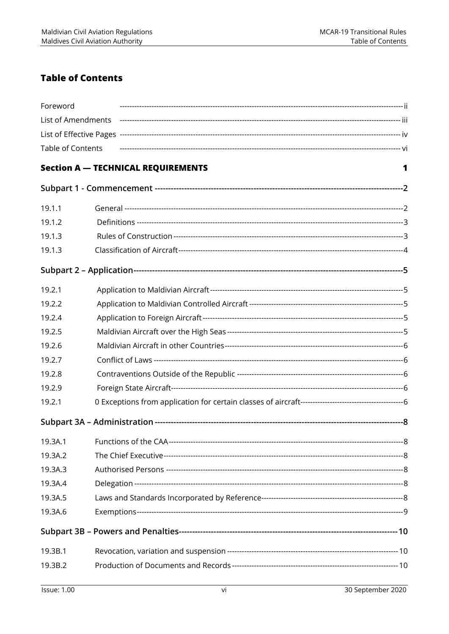## **Table of Contents**

| Foreword           |                                           |   |
|--------------------|-------------------------------------------|---|
| List of Amendments |                                           |   |
|                    |                                           |   |
| Table of Contents  |                                           |   |
|                    | <b>Section A - TECHNICAL REQUIREMENTS</b> | 1 |
|                    |                                           |   |
| 19.1.1             |                                           |   |
| 19.1.2             |                                           |   |
| 19.1.3             |                                           |   |
| 19.1.3             |                                           |   |
|                    |                                           |   |
| 19.2.1             |                                           |   |
| 19.2.2             |                                           |   |
| 19.2.4             |                                           |   |
| 19.2.5             |                                           |   |
| 19.2.6             |                                           |   |
| 19.2.7             |                                           |   |
| 19.2.8             |                                           |   |
| 19.2.9             |                                           |   |
| 19.2.1             |                                           |   |
|                    |                                           |   |
| 19.3A.1            |                                           |   |
| 19.3A.2            |                                           |   |
| 19.3A.3            |                                           |   |
| 19.3A.4            |                                           |   |
| 19.3A.5            |                                           |   |
| 19.3A.6            |                                           |   |
|                    |                                           |   |
| 19.3B.1            |                                           |   |
| 19.3B.2            |                                           |   |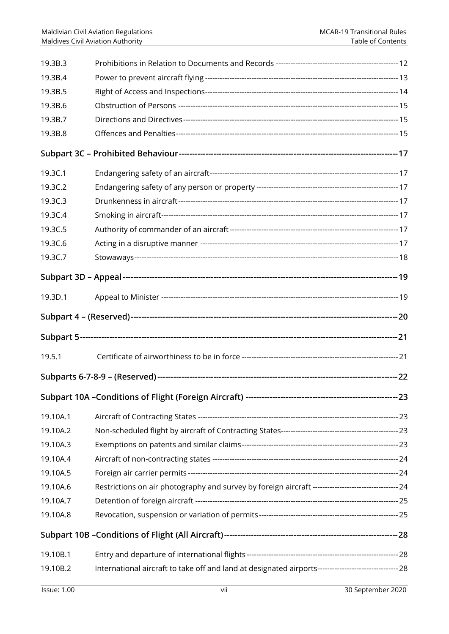| 19.3B.3  |                                                                                                        |  |
|----------|--------------------------------------------------------------------------------------------------------|--|
| 19.3B.4  |                                                                                                        |  |
| 19.3B.5  |                                                                                                        |  |
| 19.3B.6  |                                                                                                        |  |
| 19.3B.7  |                                                                                                        |  |
| 19.3B.8  |                                                                                                        |  |
|          |                                                                                                        |  |
| 19.3C.1  |                                                                                                        |  |
| 19.3C.2  |                                                                                                        |  |
| 19.3C.3  |                                                                                                        |  |
| 19.3C.4  |                                                                                                        |  |
| 19.3C.5  |                                                                                                        |  |
| 19.3C.6  |                                                                                                        |  |
| 19.3C.7  |                                                                                                        |  |
|          |                                                                                                        |  |
| 19.3D.1  |                                                                                                        |  |
|          |                                                                                                        |  |
|          |                                                                                                        |  |
| 19.5.1   |                                                                                                        |  |
|          |                                                                                                        |  |
|          |                                                                                                        |  |
| 19.10A.1 |                                                                                                        |  |
| 19.10A.2 |                                                                                                        |  |
| 19.10A.3 |                                                                                                        |  |
| 19.10A.4 |                                                                                                        |  |
| 19.10A.5 |                                                                                                        |  |
| 19.10A.6 |                                                                                                        |  |
| 19.10A.7 |                                                                                                        |  |
| 19.10A.8 |                                                                                                        |  |
|          |                                                                                                        |  |
| 19.10B.1 |                                                                                                        |  |
| 19.10B.2 | International aircraft to take off and land at designated airports--------------------------------- 28 |  |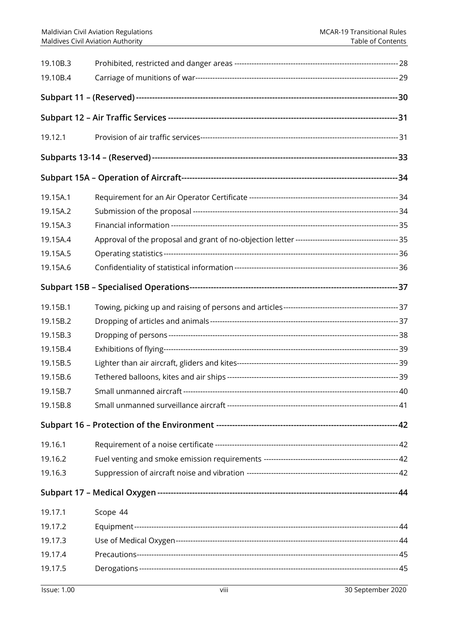| 19.10B.3<br>19.10B.4 |                                         |       |
|----------------------|-----------------------------------------|-------|
|                      |                                         |       |
|                      |                                         |       |
| 19.12.1              |                                         |       |
|                      |                                         |       |
|                      |                                         |       |
| 19.15A.1             |                                         |       |
| 19.15A.2             |                                         |       |
| 19.15A.3             |                                         |       |
| 19.15A.4             |                                         |       |
| 19.15A.5             |                                         |       |
| 19.15A.6             |                                         |       |
|                      |                                         |       |
| 19.15B.1             |                                         |       |
| 19.15B.2             |                                         |       |
| 19.15B.3             |                                         |       |
| 19.15B.4             |                                         |       |
| 19.15B.5             |                                         |       |
| 19.15B.6             |                                         |       |
| 19.15B.7             | Small unmanned aircraft --------------- | -- 40 |
| 19.15B.8             |                                         |       |
|                      |                                         |       |
| 19.16.1              |                                         |       |
| 19.16.2              |                                         |       |
| 19.16.3              |                                         |       |
|                      |                                         |       |
| 19.17.1              | Scope 44                                |       |
| 19.17.2              |                                         |       |
| 19.17.3              |                                         |       |
| 19.17.4              |                                         |       |
| 19.17.5              |                                         |       |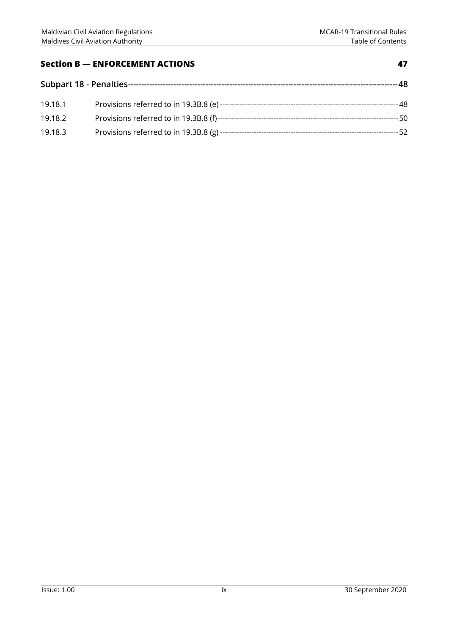#### **Section B — ENFORCEMENT ACTIONS** 47

| 19.18.1 |  |  |
|---------|--|--|
| 19.18.2 |  |  |
| 19.18.3 |  |  |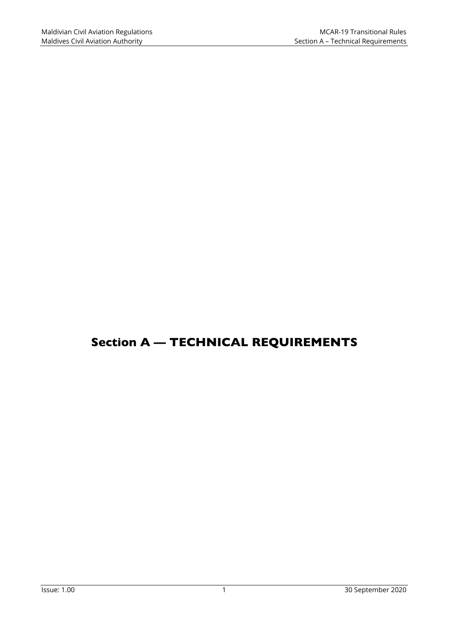# Section A — TECHNICAL REQUIREMENTS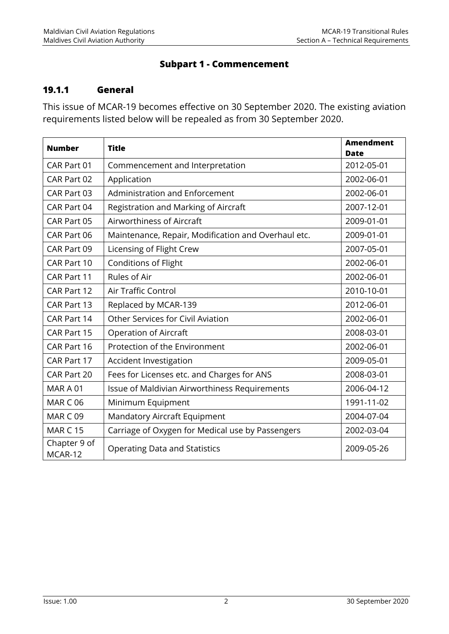#### **Subpart 1 - Commencement**

#### **19.1.1 General**

This issue of MCAR-19 becomes effective on 30 September 2020. The existing aviation requirements listed below will be repealed as from 30 September 2020.

| <b>Number</b>           | <b>Title</b>                                        | <b>Amendment</b><br><b>Date</b> |
|-------------------------|-----------------------------------------------------|---------------------------------|
| CAR Part 01             | Commencement and Interpretation                     | 2012-05-01                      |
| CAR Part 02             | Application                                         | 2002-06-01                      |
| CAR Part 03             | Administration and Enforcement                      | 2002-06-01                      |
| CAR Part 04             | Registration and Marking of Aircraft                | 2007-12-01                      |
| CAR Part 05             | Airworthiness of Aircraft                           | 2009-01-01                      |
| CAR Part 06             | Maintenance, Repair, Modification and Overhaul etc. | 2009-01-01                      |
| CAR Part 09             | Licensing of Flight Crew                            | 2007-05-01                      |
| CAR Part 10             | Conditions of Flight                                | 2002-06-01                      |
| CAR Part 11             | Rules of Air                                        | 2002-06-01                      |
| CAR Part 12             | Air Traffic Control                                 | 2010-10-01                      |
| CAR Part 13             | Replaced by MCAR-139                                | 2012-06-01                      |
| CAR Part 14             | <b>Other Services for Civil Aviation</b>            | 2002-06-01                      |
| CAR Part 15             | <b>Operation of Aircraft</b>                        | 2008-03-01                      |
| CAR Part 16             | Protection of the Environment                       | 2002-06-01                      |
| CAR Part 17             | Accident Investigation                              | 2009-05-01                      |
| CAR Part 20             | Fees for Licenses etc. and Charges for ANS          | 2008-03-01                      |
| MARA01                  | Issue of Maldivian Airworthiness Requirements       | 2006-04-12                      |
| <b>MAR C 06</b>         | Minimum Equipment                                   | 1991-11-02                      |
| <b>MAR C 09</b>         | <b>Mandatory Aircraft Equipment</b>                 | 2004-07-04                      |
| <b>MAR C 15</b>         | Carriage of Oxygen for Medical use by Passengers    | 2002-03-04                      |
| Chapter 9 of<br>MCAR-12 | <b>Operating Data and Statistics</b>                | 2009-05-26                      |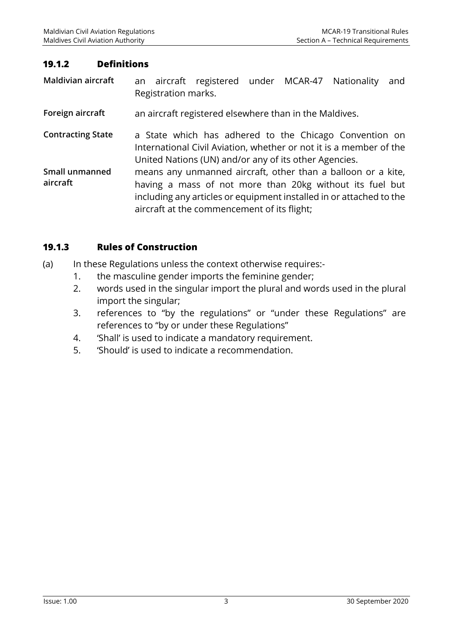#### **19.1.2 Definitions**

**Maldivian aircraft** an aircraft registered under MCAR-47 Nationality and Registration marks.

**Foreign aircraft** an aircraft registered elsewhere than in the Maldives.

**Contracting State** a State which has adhered to the Chicago Convention on International Civil Aviation, whether or not it is a member of the United Nations (UN) and/or any of its other Agencies.

**Small unmanned aircraft**  means any unmanned aircraft, other than a balloon or a kite, having a mass of not more than 20kg without its fuel but including any articles or equipment installed in or attached to the aircraft at the commencement of its flight;

#### **19.1.3 Rules of Construction**

- (a) In these Regulations unless the context otherwise requires:-
	- 1. the masculine gender imports the feminine gender;
	- 2. words used in the singular import the plural and words used in the plural import the singular;
	- 3. references to "by the regulations" or "under these Regulations" are references to "by or under these Regulations"
	- 4. 'Shall' is used to indicate a mandatory requirement.
	- 5. 'Should' is used to indicate a recommendation.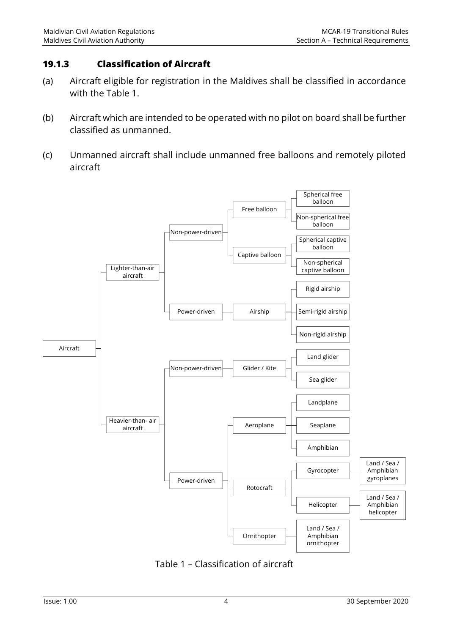#### **19.1.3 Classification of Aircraft**

- (a) Aircraft eligible for registration in the Maldives shall be classified in accordance with the Table 1.
- (b) Aircraft which are intended to be operated with no pilot on board shall be further classified as unmanned.
- (c) Unmanned aircraft shall include unmanned free balloons and remotely piloted aircraft



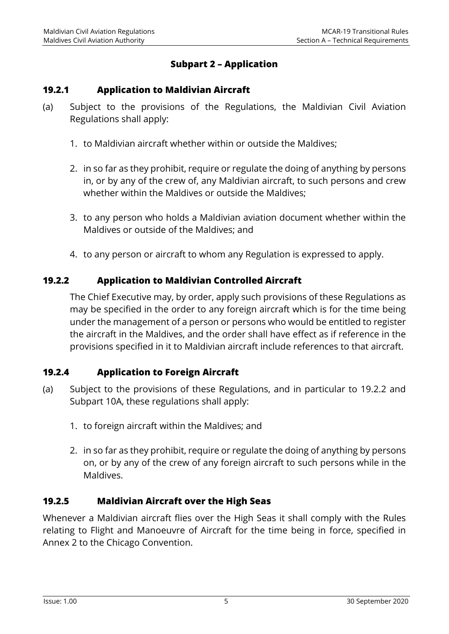### **Subpart 2 – Application**

#### **19.2.1 Application to Maldivian Aircraft**

- (a) Subject to the provisions of the Regulations, the Maldivian Civil Aviation Regulations shall apply:
	- 1. to Maldivian aircraft whether within or outside the Maldives;
	- 2. in so far as they prohibit, require or regulate the doing of anything by persons in, or by any of the crew of, any Maldivian aircraft, to such persons and crew whether within the Maldives or outside the Maldives;
	- 3. to any person who holds a Maldivian aviation document whether within the Maldives or outside of the Maldives; and
	- 4. to any person or aircraft to whom any Regulation is expressed to apply.

#### **19.2.2 Application to Maldivian Controlled Aircraft**

The Chief Executive may, by order, apply such provisions of these Regulations as may be specified in the order to any foreign aircraft which is for the time being under the management of a person or persons who would be entitled to register the aircraft in the Maldives, and the order shall have effect as if reference in the provisions specified in it to Maldivian aircraft include references to that aircraft.

#### **19.2.4 Application to Foreign Aircraft**

- (a) Subject to the provisions of these Regulations, and in particular to 19.2.2 and Subpart 10A, these regulations shall apply:
	- 1. to foreign aircraft within the Maldives; and
	- 2. in so far as they prohibit, require or regulate the doing of anything by persons on, or by any of the crew of any foreign aircraft to such persons while in the Maldives.

#### **19.2.5 Maldivian Aircraft over the High Seas**

Whenever a Maldivian aircraft flies over the High Seas it shall comply with the Rules relating to Flight and Manoeuvre of Aircraft for the time being in force, specified in Annex 2 to the Chicago Convention.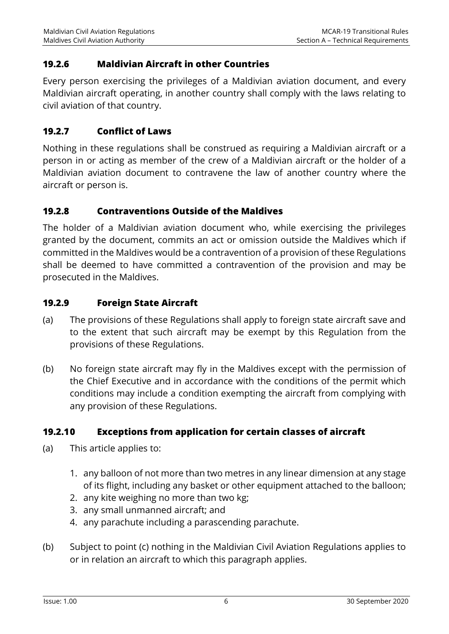#### **19.2.6 Maldivian Aircraft in other Countries**

Every person exercising the privileges of a Maldivian aviation document, and every Maldivian aircraft operating, in another country shall comply with the laws relating to civil aviation of that country.

#### **19.2.7 Conflict of Laws**

Nothing in these regulations shall be construed as requiring a Maldivian aircraft or a person in or acting as member of the crew of a Maldivian aircraft or the holder of a Maldivian aviation document to contravene the law of another country where the aircraft or person is.

#### **19.2.8 Contraventions Outside of the Maldives**

The holder of a Maldivian aviation document who, while exercising the privileges granted by the document, commits an act or omission outside the Maldives which if committed in the Maldives would be a contravention of a provision of these Regulations shall be deemed to have committed a contravention of the provision and may be prosecuted in the Maldives.

#### **19.2.9 Foreign State Aircraft**

- (a) The provisions of these Regulations shall apply to foreign state aircraft save and to the extent that such aircraft may be exempt by this Regulation from the provisions of these Regulations.
- (b) No foreign state aircraft may fly in the Maldives except with the permission of the Chief Executive and in accordance with the conditions of the permit which conditions may include a condition exempting the aircraft from complying with any provision of these Regulations.

## **19.2.1 0 Exceptions from application for certain classes of aircraft**

- (a) This article applies to:
	- 1. any balloon of not more than two metres in any linear dimension at any stage of its flight, including any basket or other equipment attached to the balloon;
	- 2. any kite weighing no more than two kg;
	- 3. any small unmanned aircraft; and
	- 4. any parachute including a parascending parachute.
- (b) Subject to point (c) nothing in the Maldivian Civil Aviation Regulations applies to or in relation an aircraft to which this paragraph applies.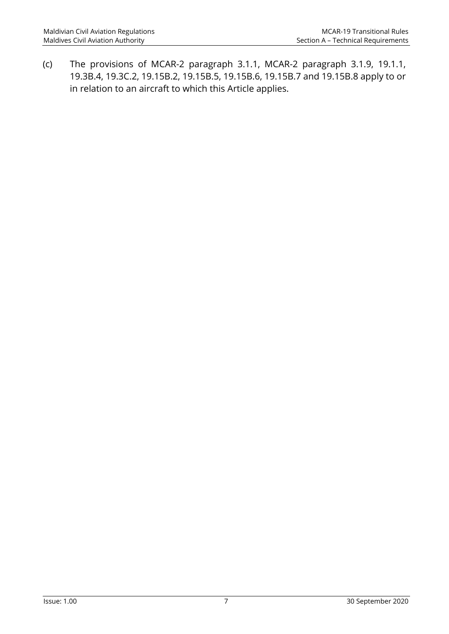(c) The provisions of MCAR-2 paragraph 3.1.1, MCAR-2 paragraph 3.1.9, 19.1.1, 19.3B.4, 19.3C.2, 19.15B.2, 19.15B.5, 19.15B.6, 19.15B.7 and 19.15B.8 apply to or in relation to an aircraft to which this Article applies.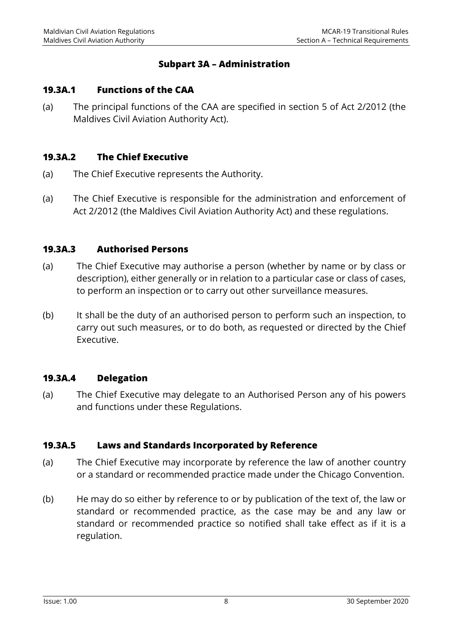#### **Subpart 3A – Administration**

#### **19.3A.1 Functions of the CAA**

(a) The principal functions of the CAA are specified in section 5 of Act 2/2012 (the Maldives Civil Aviation Authority Act).

#### **19.3A.2 The Chief Executive**

- (a) The Chief Executive represents the Authority.
- (a) The Chief Executive is responsible for the administration and enforcement of Act 2/2012 (the Maldives Civil Aviation Authority Act) and these regulations.

#### **19.3A.3 Authorised Persons**

- (a) The Chief Executive may authorise a person (whether by name or by class or description), either generally or in relation to a particular case or class of cases, to perform an inspection or to carry out other surveillance measures.
- (b) It shall be the duty of an authorised person to perform such an inspection, to carry out such measures, or to do both, as requested or directed by the Chief Executive.

#### **19.3A.4 Delegation**

(a) The Chief Executive may delegate to an Authorised Person any of his powers and functions under these Regulations.

#### **19.3A.5 Laws and Standards Incorporated by Reference**

- (a) The Chief Executive may incorporate by reference the law of another country or a standard or recommended practice made under the Chicago Convention.
- (b) He may do so either by reference to or by publication of the text of, the law or standard or recommended practice, as the case may be and any law or standard or recommended practice so notified shall take effect as if it is a regulation.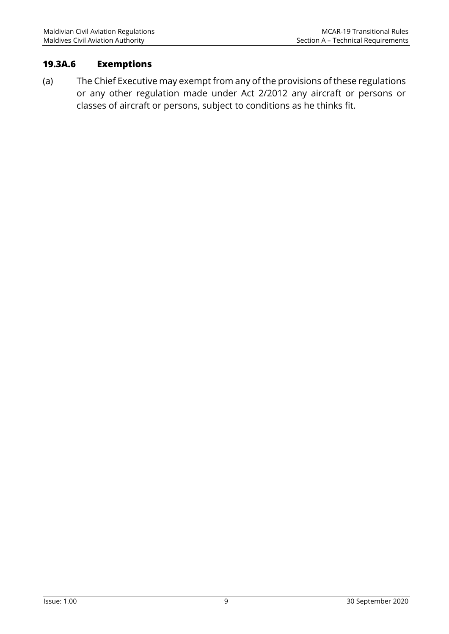#### **19.3A.6 Exemptions**

(a) The Chief Executive may exempt from any of the provisions of these regulations or any other regulation made under Act 2/2012 any aircraft or persons or classes of aircraft or persons, subject to conditions as he thinks fit.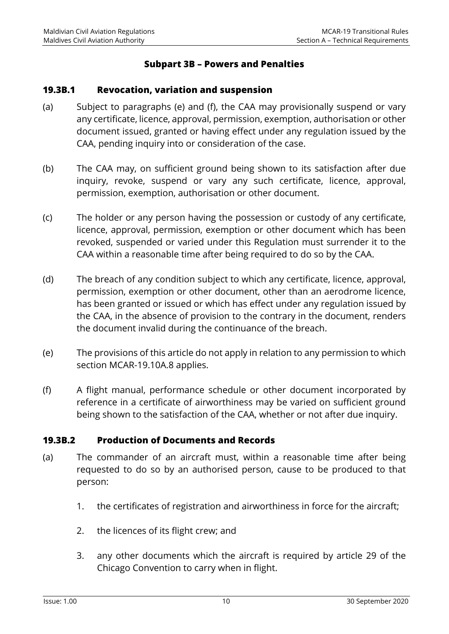#### **Subpart 3B – Powers and Penalties**

#### **19.3B.1 Revocation, variation and suspension**

- (a) Subject to paragraphs (e) and (f), the CAA may provisionally suspend or vary any certificate, licence, approval, permission, exemption, authorisation or other document issued, granted or having effect under any regulation issued by the CAA, pending inquiry into or consideration of the case.
- (b) The CAA may, on sufficient ground being shown to its satisfaction after due inquiry, revoke, suspend or vary any such certificate, licence, approval, permission, exemption, authorisation or other document.
- (c) The holder or any person having the possession or custody of any certificate, licence, approval, permission, exemption or other document which has been revoked, suspended or varied under this Regulation must surrender it to the CAA within a reasonable time after being required to do so by the CAA.
- (d) The breach of any condition subject to which any certificate, licence, approval, permission, exemption or other document, other than an aerodrome licence, has been granted or issued or which has effect under any regulation issued by the CAA, in the absence of provision to the contrary in the document, renders the document invalid during the continuance of the breach.
- (e) The provisions of this article do not apply in relation to any permission to which section MCAR-19.10A.8 applies.
- (f) A flight manual, performance schedule or other document incorporated by reference in a certificate of airworthiness may be varied on sufficient ground being shown to the satisfaction of the CAA, whether or not after due inquiry.

#### **19.3B.2 Production of Documents and Records**

- (a) The commander of an aircraft must, within a reasonable time after being requested to do so by an authorised person, cause to be produced to that person:
	- 1. the certificates of registration and airworthiness in force for the aircraft;
	- 2. the licences of its flight crew; and
	- 3. any other documents which the aircraft is required by article 29 of the Chicago Convention to carry when in flight.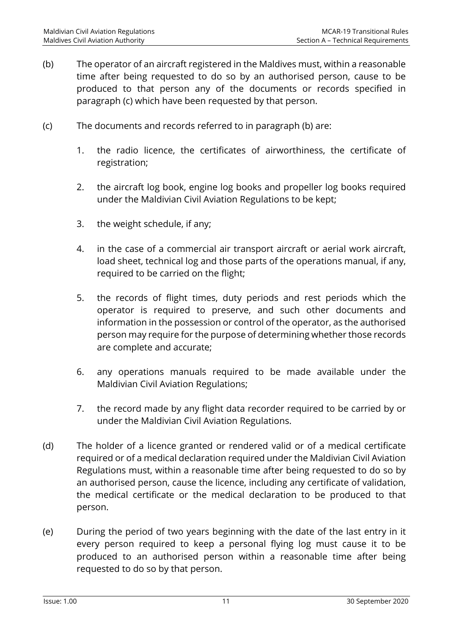- (b) The operator of an aircraft registered in the Maldives must, within a reasonable time after being requested to do so by an authorised person, cause to be produced to that person any of the documents or records specified in paragraph (c) which have been requested by that person.
- (c) The documents and records referred to in paragraph (b) are:
	- 1. the radio licence, the certificates of airworthiness, the certificate of registration;
	- 2. the aircraft log book, engine log books and propeller log books required under the Maldivian Civil Aviation Regulations to be kept;
	- 3. the weight schedule, if any;
	- 4. in the case of a commercial air transport aircraft or aerial work aircraft, load sheet, technical log and those parts of the operations manual, if any, required to be carried on the flight;
	- 5. the records of flight times, duty periods and rest periods which the operator is required to preserve, and such other documents and information in the possession or control of the operator, as the authorised person may require for the purpose of determining whether those records are complete and accurate;
	- 6. any operations manuals required to be made available under the Maldivian Civil Aviation Regulations;
	- 7. the record made by any flight data recorder required to be carried by or under the Maldivian Civil Aviation Regulations.
- (d) The holder of a licence granted or rendered valid or of a medical certificate required or of a medical declaration required under the Maldivian Civil Aviation Regulations must, within a reasonable time after being requested to do so by an authorised person, cause the licence, including any certificate of validation, the medical certificate or the medical declaration to be produced to that person.
- (e) During the period of two years beginning with the date of the last entry in it every person required to keep a personal flying log must cause it to be produced to an authorised person within a reasonable time after being requested to do so by that person.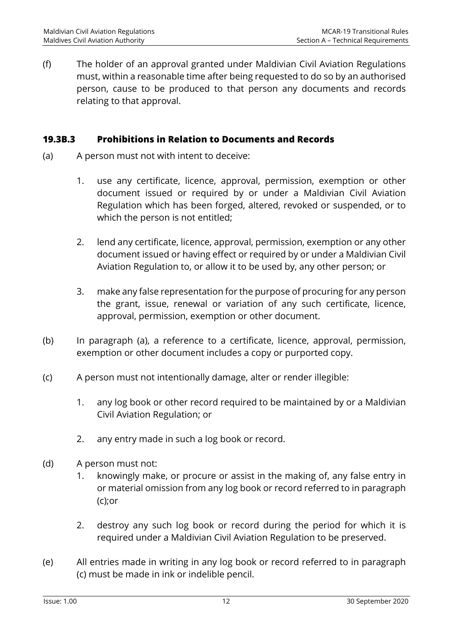(f) The holder of an approval granted under Maldivian Civil Aviation Regulations must, within a reasonable time after being requested to do so by an authorised person, cause to be produced to that person any documents and records relating to that approval.

#### **19.3B.3 Prohibitions in Relation to Documents and Records**

- (a) A person must not with intent to deceive:
	- 1. use any certificate, licence, approval, permission, exemption or other document issued or required by or under a Maldivian Civil Aviation Regulation which has been forged, altered, revoked or suspended, or to which the person is not entitled;
	- 2. lend any certificate, licence, approval, permission, exemption or any other document issued or having effect or required by or under a Maldivian Civil Aviation Regulation to, or allow it to be used by, any other person; or
	- 3. make any false representation for the purpose of procuring for any person the grant, issue, renewal or variation of any such certificate, licence, approval, permission, exemption or other document.
- (b) In paragraph (a), a reference to a certificate, licence, approval, permission, exemption or other document includes a copy or purported copy.
- (c) A person must not intentionally damage, alter or render illegible:
	- 1. any log book or other record required to be maintained by or a Maldivian Civil Aviation Regulation; or
	- 2. any entry made in such a log book or record.
- (d) A person must not:
	- 1. knowingly make, or procure or assist in the making of, any false entry in or material omission from any log book or record referred to in paragraph (c);or
	- 2. destroy any such log book or record during the period for which it is required under a Maldivian Civil Aviation Regulation to be preserved.
- (e) All entries made in writing in any log book or record referred to in paragraph (c) must be made in ink or indelible pencil.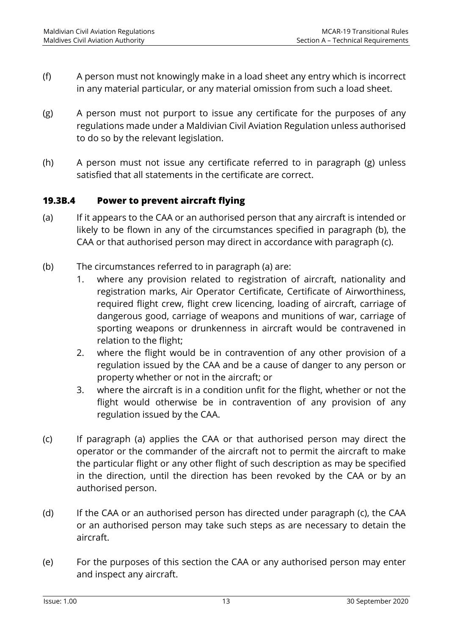- (f) A person must not knowingly make in a load sheet any entry which is incorrect in any material particular, or any material omission from such a load sheet.
- (g) A person must not purport to issue any certificate for the purposes of any regulations made under a Maldivian Civil Aviation Regulation unless authorised to do so by the relevant legislation.
- (h) A person must not issue any certificate referred to in paragraph (g) unless satisfied that all statements in the certificate are correct.

#### **19.3B.4 Power to prevent aircraft flying**

- (a) If it appears to the CAA or an authorised person that any aircraft is intended or likely to be flown in any of the circumstances specified in paragraph (b), the CAA or that authorised person may direct in accordance with paragraph (c).
- (b) The circumstances referred to in paragraph (a) are:
	- 1. where any provision related to registration of aircraft, nationality and registration marks, Air Operator Certificate, Certificate of Airworthiness, required flight crew, flight crew licencing, loading of aircraft, carriage of dangerous good, carriage of weapons and munitions of war, carriage of sporting weapons or drunkenness in aircraft would be contravened in relation to the flight;
	- 2. where the flight would be in contravention of any other provision of a regulation issued by the CAA and be a cause of danger to any person or property whether or not in the aircraft; or
	- 3. where the aircraft is in a condition unfit for the flight, whether or not the flight would otherwise be in contravention of any provision of any regulation issued by the CAA.
- (c) If paragraph (a) applies the CAA or that authorised person may direct the operator or the commander of the aircraft not to permit the aircraft to make the particular flight or any other flight of such description as may be specified in the direction, until the direction has been revoked by the CAA or by an authorised person.
- (d) If the CAA or an authorised person has directed under paragraph (c), the CAA or an authorised person may take such steps as are necessary to detain the aircraft.
- (e) For the purposes of this section the CAA or any authorised person may enter and inspect any aircraft.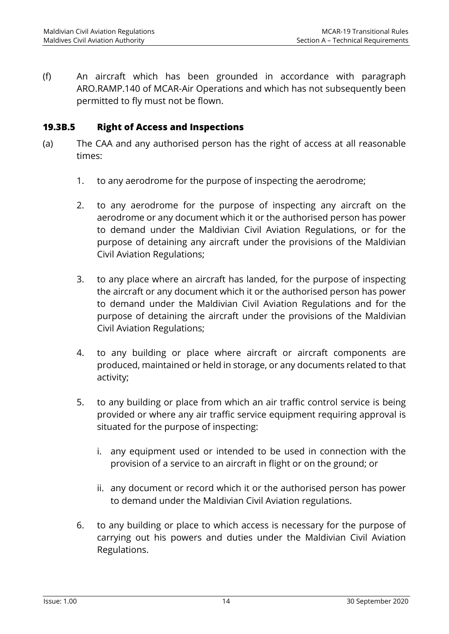(f) An aircraft which has been grounded in accordance with paragraph ARO.RAMP.140 of MCAR-Air Operations and which has not subsequently been permitted to fly must not be flown.

#### **19.3B.5 Right of Access and Inspections**

- (a) The CAA and any authorised person has the right of access at all reasonable times:
	- 1. to any aerodrome for the purpose of inspecting the aerodrome;
	- 2. to any aerodrome for the purpose of inspecting any aircraft on the aerodrome or any document which it or the authorised person has power to demand under the Maldivian Civil Aviation Regulations, or for the purpose of detaining any aircraft under the provisions of the Maldivian Civil Aviation Regulations;
	- 3. to any place where an aircraft has landed, for the purpose of inspecting the aircraft or any document which it or the authorised person has power to demand under the Maldivian Civil Aviation Regulations and for the purpose of detaining the aircraft under the provisions of the Maldivian Civil Aviation Regulations;
	- 4. to any building or place where aircraft or aircraft components are produced, maintained or held in storage, or any documents related to that activity;
	- 5. to any building or place from which an air traffic control service is being provided or where any air traffic service equipment requiring approval is situated for the purpose of inspecting:
		- i. any equipment used or intended to be used in connection with the provision of a service to an aircraft in flight or on the ground; or
		- ii. any document or record which it or the authorised person has power to demand under the Maldivian Civil Aviation regulations.
	- 6. to any building or place to which access is necessary for the purpose of carrying out his powers and duties under the Maldivian Civil Aviation Regulations.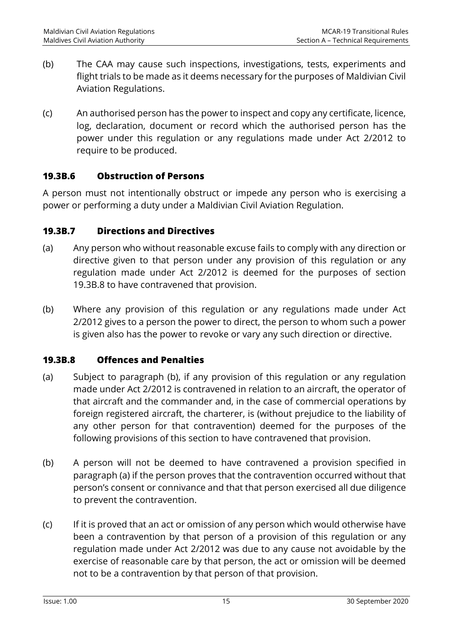- (b) The CAA may cause such inspections, investigations, tests, experiments and flight trials to be made as it deems necessary for the purposes of Maldivian Civil Aviation Regulations.
- (c) An authorised person has the power to inspect and copy any certificate, licence, log, declaration, document or record which the authorised person has the power under this regulation or any regulations made under Act 2/2012 to require to be produced.

#### **19.3B.6 Obstruction of Persons**

A person must not intentionally obstruct or impede any person who is exercising a power or performing a duty under a Maldivian Civil Aviation Regulation.

#### **19.3B.7 Directions and Directives**

- (a) Any person who without reasonable excuse fails to comply with any direction or directive given to that person under any provision of this regulation or any regulation made under Act 2/2012 is deemed for the purposes of section 19.3B.8 to have contravened that provision.
- (b) Where any provision of this regulation or any regulations made under Act 2/2012 gives to a person the power to direct, the person to whom such a power is given also has the power to revoke or vary any such direction or directive.

#### **19.3B.8 Offences and Penalties**

- (a) Subject to paragraph (b), if any provision of this regulation or any regulation made under Act 2/2012 is contravened in relation to an aircraft, the operator of that aircraft and the commander and, in the case of commercial operations by foreign registered aircraft, the charterer, is (without prejudice to the liability of any other person for that contravention) deemed for the purposes of the following provisions of this section to have contravened that provision.
- (b) A person will not be deemed to have contravened a provision specified in paragraph (a) if the person proves that the contravention occurred without that person's consent or connivance and that that person exercised all due diligence to prevent the contravention.
- (c) If it is proved that an act or omission of any person which would otherwise have been a contravention by that person of a provision of this regulation or any regulation made under Act 2/2012 was due to any cause not avoidable by the exercise of reasonable care by that person, the act or omission will be deemed not to be a contravention by that person of that provision.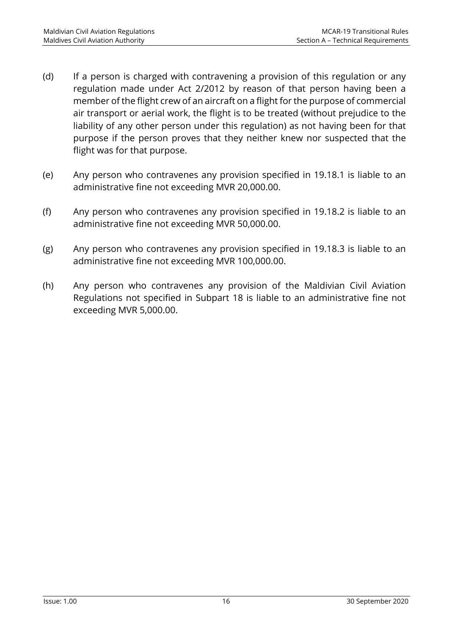- (d) If a person is charged with contravening a provision of this regulation or any regulation made under Act 2/2012 by reason of that person having been a member of the flight crew of an aircraft on a flight for the purpose of commercial air transport or aerial work, the flight is to be treated (without prejudice to the liability of any other person under this regulation) as not having been for that purpose if the person proves that they neither knew nor suspected that the flight was for that purpose.
- (e) Any person who contravenes any provision specified in 19.18.1 is liable to an administrative fine not exceeding MVR 20,000.00.
- (f) Any person who contravenes any provision specified in 19.18.2 is liable to an administrative fine not exceeding MVR 50,000.00.
- (g) Any person who contravenes any provision specified in 19.18.3 is liable to an administrative fine not exceeding MVR 100,000.00.
- (h) Any person who contravenes any provision of the Maldivian Civil Aviation Regulations not specified in Subpart 18 is liable to an administrative fine not exceeding MVR 5,000.00.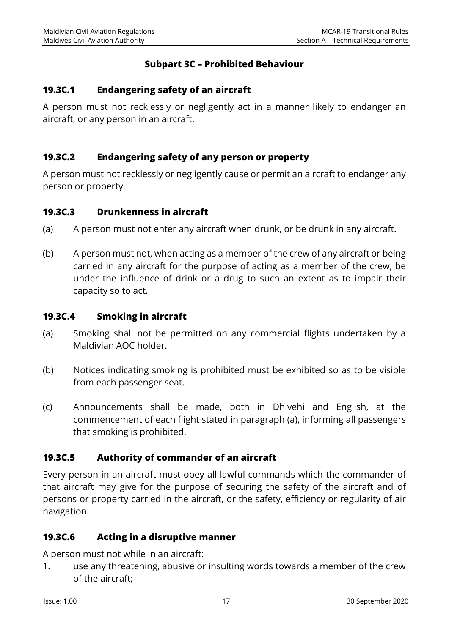#### **Subpart 3C – Prohibited Behaviour**

#### **19.3C.1 Endangering safety of an aircraft**

A person must not recklessly or negligently act in a manner likely to endanger an aircraft, or any person in an aircraft.

#### **19.3C.2 Endangering safety of any person or property**

A person must not recklessly or negligently cause or permit an aircraft to endanger any person or property.

#### **19.3C.3 Drunkenness in aircraft**

- (a) A person must not enter any aircraft when drunk, or be drunk in any aircraft.
- (b) A person must not, when acting as a member of the crew of any aircraft or being carried in any aircraft for the purpose of acting as a member of the crew, be under the influence of drink or a drug to such an extent as to impair their capacity so to act.

#### **19.3C.4 Smoking in aircraft**

- (a) Smoking shall not be permitted on any commercial flights undertaken by a Maldivian AOC holder.
- (b) Notices indicating smoking is prohibited must be exhibited so as to be visible from each passenger seat.
- (c) Announcements shall be made, both in Dhivehi and English, at the commencement of each flight stated in paragraph (a), informing all passengers that smoking is prohibited.

#### **19.3C.5 Authority of commander of an aircraft**

Every person in an aircraft must obey all lawful commands which the commander of that aircraft may give for the purpose of securing the safety of the aircraft and of persons or property carried in the aircraft, or the safety, efficiency or regularity of air navigation.

#### **19.3C.6 Acting in a disruptive manner**

A person must not while in an aircraft:

1. use any threatening, abusive or insulting words towards a member of the crew of the aircraft;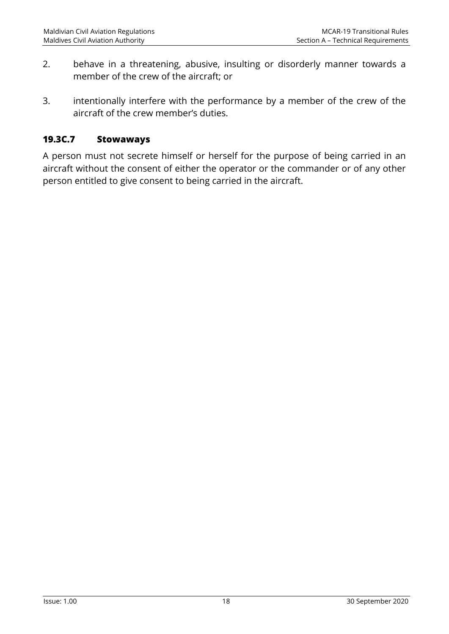- 2. behave in a threatening, abusive, insulting or disorderly manner towards a member of the crew of the aircraft; or
- 3. intentionally interfere with the performance by a member of the crew of the aircraft of the crew member's duties.

#### **19.3C.7 Stowaways**

A person must not secrete himself or herself for the purpose of being carried in an aircraft without the consent of either the operator or the commander or of any other person entitled to give consent to being carried in the aircraft.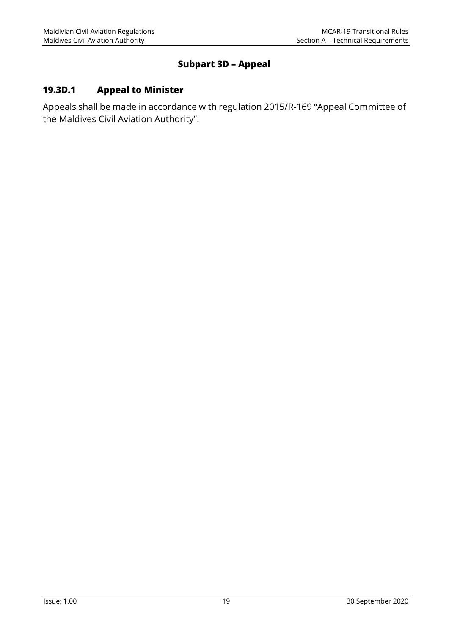#### **Subpart 3D – Appeal**

## **19.3D.1 Appeal to Minister**

Appeals shall be made in accordance with regulation 2015/R-169 "Appeal Committee of the Maldives Civil Aviation Authority".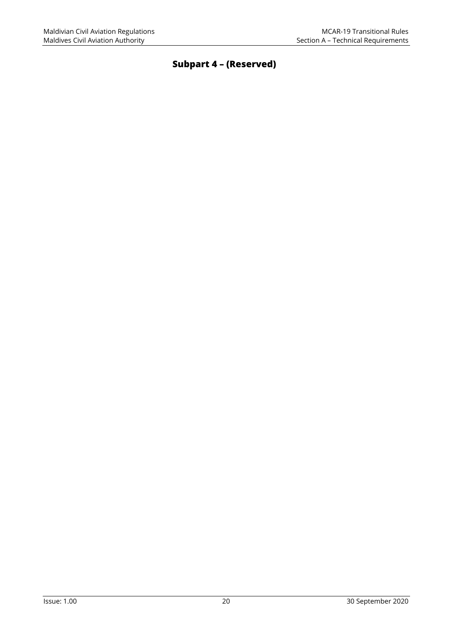## **Subpart 4 – (Reserved)**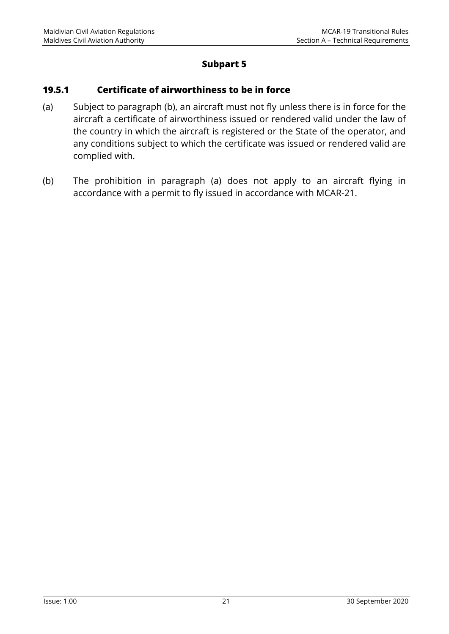#### **Subpart 5**

#### **19.5.1 Certificate of airworthiness to be in force**

- (a) Subject to paragraph (b), an aircraft must not fly unless there is in force for the aircraft a certificate of airworthiness issued or rendered valid under the law of the country in which the aircraft is registered or the State of the operator, and any conditions subject to which the certificate was issued or rendered valid are complied with.
- (b) The prohibition in paragraph (a) does not apply to an aircraft flying in accordance with a permit to fly issued in accordance with MCAR-21.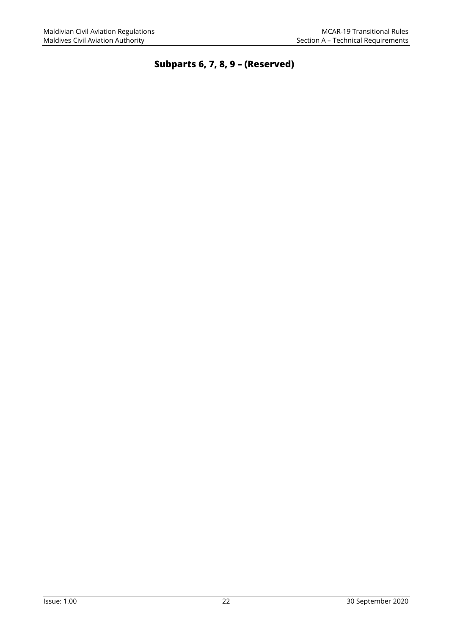**Subparts 6, 7, 8, 9 – (Reserved)**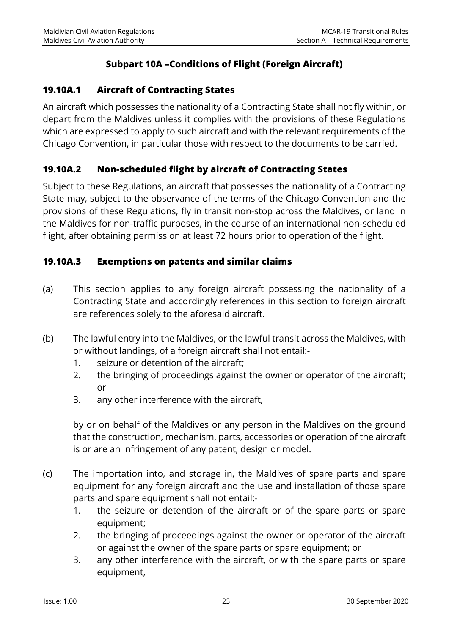## **Subpart 10A –Conditions of Flight (Foreign Aircraft)**

### **19.10A.1 Aircraft of Contracting States**

An aircraft which possesses the nationality of a Contracting State shall not fly within, or depart from the Maldives unless it complies with the provisions of these Regulations which are expressed to apply to such aircraft and with the relevant requirements of the Chicago Convention, in particular those with respect to the documents to be carried.

#### **19.10A.2 Non-scheduled flight by aircraft of Contracting States**

Subject to these Regulations, an aircraft that possesses the nationality of a Contracting State may, subject to the observance of the terms of the Chicago Convention and the provisions of these Regulations, fly in transit non-stop across the Maldives, or land in the Maldives for non-traffic purposes, in the course of an international non-scheduled flight, after obtaining permission at least 72 hours prior to operation of the flight.

#### **19.10A.3 Exemptions on patents and similar claims**

- (a) This section applies to any foreign aircraft possessing the nationality of a Contracting State and accordingly references in this section to foreign aircraft are references solely to the aforesaid aircraft.
- (b) The lawful entry into the Maldives, or the lawful transit across the Maldives, with or without landings, of a foreign aircraft shall not entail:-
	- 1. seizure or detention of the aircraft;
	- 2. the bringing of proceedings against the owner or operator of the aircraft; or
	- 3. any other interference with the aircraft,

by or on behalf of the Maldives or any person in the Maldives on the ground that the construction, mechanism, parts, accessories or operation of the aircraft is or are an infringement of any patent, design or model.

- (c) The importation into, and storage in, the Maldives of spare parts and spare equipment for any foreign aircraft and the use and installation of those spare parts and spare equipment shall not entail:-
	- 1. the seizure or detention of the aircraft or of the spare parts or spare equipment;
	- 2. the bringing of proceedings against the owner or operator of the aircraft or against the owner of the spare parts or spare equipment; or
	- 3. any other interference with the aircraft, or with the spare parts or spare equipment,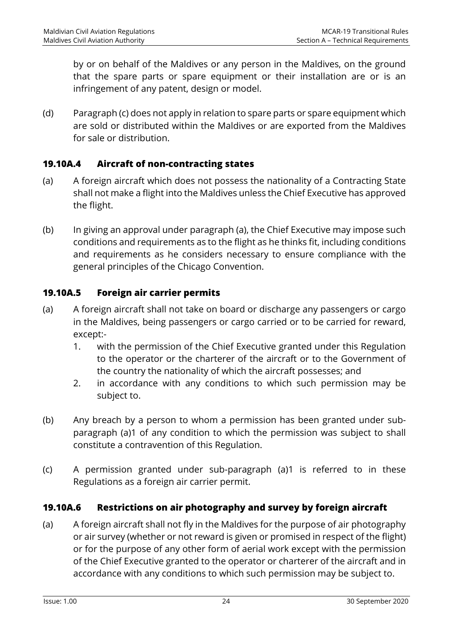by or on behalf of the Maldives or any person in the Maldives, on the ground that the spare parts or spare equipment or their installation are or is an infringement of any patent, design or model.

(d) Paragraph (c) does not apply in relation to spare parts or spare equipment which are sold or distributed within the Maldives or are exported from the Maldives for sale or distribution.

#### **19.10A.4 Aircraft of non-contracting states**

- (a) A foreign aircraft which does not possess the nationality of a Contracting State shall not make a flight into the Maldives unless the Chief Executive has approved the flight.
- (b) In giving an approval under paragraph (a), the Chief Executive may impose such conditions and requirements as to the flight as he thinks fit, including conditions and requirements as he considers necessary to ensure compliance with the general principles of the Chicago Convention.

#### **19.10A.5 Foreign air carrier permits**

- (a) A foreign aircraft shall not take on board or discharge any passengers or cargo in the Maldives, being passengers or cargo carried or to be carried for reward, except:-
	- 1. with the permission of the Chief Executive granted under this Regulation to the operator or the charterer of the aircraft or to the Government of the country the nationality of which the aircraft possesses; and
	- 2. in accordance with any conditions to which such permission may be subject to.
- (b) Any breach by a person to whom a permission has been granted under subparagraph (a)1 of any condition to which the permission was subject to shall constitute a contravention of this Regulation.
- (c) A permission granted under sub-paragraph (a)1 is referred to in these Regulations as a foreign air carrier permit.

#### **19.10A.6 Restrictions on air photography and survey by foreign aircraft**

(a) A foreign aircraft shall not fly in the Maldives for the purpose of air photography or air survey (whether or not reward is given or promised in respect of the flight) or for the purpose of any other form of aerial work except with the permission of the Chief Executive granted to the operator or charterer of the aircraft and in accordance with any conditions to which such permission may be subject to.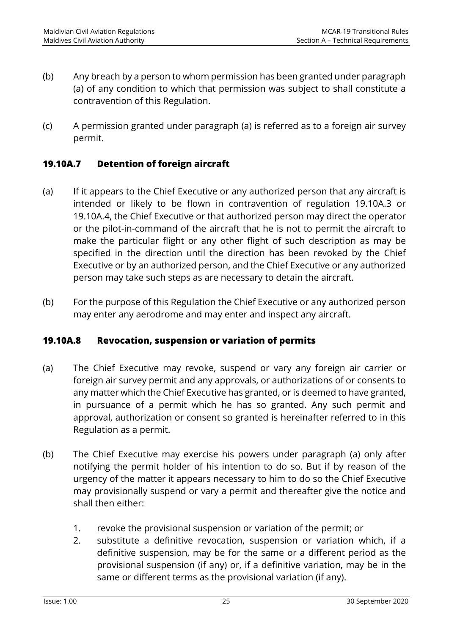- (b) Any breach by a person to whom permission has been granted under paragraph (a) of any condition to which that permission was subject to shall constitute a contravention of this Regulation.
- (c) A permission granted under paragraph (a) is referred as to a foreign air survey permit.

#### **19.10A.7 Detention of foreign aircraft**

- (a) If it appears to the Chief Executive or any authorized person that any aircraft is intended or likely to be flown in contravention of regulation 19.10A.3 or 19.10A.4, the Chief Executive or that authorized person may direct the operator or the pilot-in-command of the aircraft that he is not to permit the aircraft to make the particular flight or any other flight of such description as may be specified in the direction until the direction has been revoked by the Chief Executive or by an authorized person, and the Chief Executive or any authorized person may take such steps as are necessary to detain the aircraft.
- (b) For the purpose of this Regulation the Chief Executive or any authorized person may enter any aerodrome and may enter and inspect any aircraft.

#### **19.10A.8 Revocation, suspension or variation of permits**

- (a) The Chief Executive may revoke, suspend or vary any foreign air carrier or foreign air survey permit and any approvals, or authorizations of or consents to any matter which the Chief Executive has granted, or is deemed to have granted, in pursuance of a permit which he has so granted. Any such permit and approval, authorization or consent so granted is hereinafter referred to in this Regulation as a permit.
- (b) The Chief Executive may exercise his powers under paragraph (a) only after notifying the permit holder of his intention to do so. But if by reason of the urgency of the matter it appears necessary to him to do so the Chief Executive may provisionally suspend or vary a permit and thereafter give the notice and shall then either:
	- 1. revoke the provisional suspension or variation of the permit; or
	- 2. substitute a definitive revocation, suspension or variation which, if a definitive suspension, may be for the same or a different period as the provisional suspension (if any) or, if a definitive variation, may be in the same or different terms as the provisional variation (if any).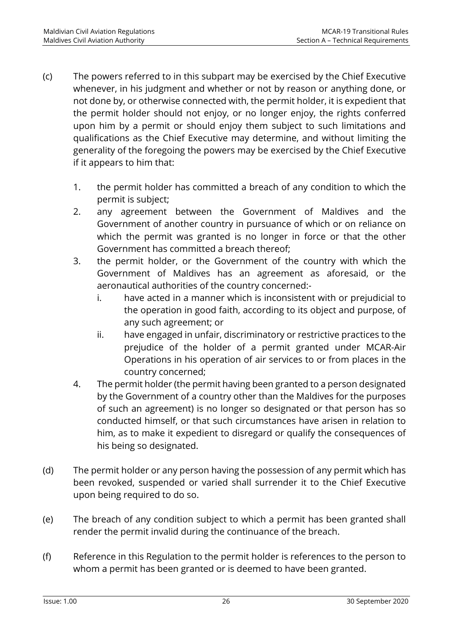- (c) The powers referred to in this subpart may be exercised by the Chief Executive whenever, in his judgment and whether or not by reason or anything done, or not done by, or otherwise connected with, the permit holder, it is expedient that the permit holder should not enjoy, or no longer enjoy, the rights conferred upon him by a permit or should enjoy them subject to such limitations and qualifications as the Chief Executive may determine, and without limiting the generality of the foregoing the powers may be exercised by the Chief Executive if it appears to him that:
	- 1. the permit holder has committed a breach of any condition to which the permit is subject;
	- 2. any agreement between the Government of Maldives and the Government of another country in pursuance of which or on reliance on which the permit was granted is no longer in force or that the other Government has committed a breach thereof;
	- 3. the permit holder, or the Government of the country with which the Government of Maldives has an agreement as aforesaid, or the aeronautical authorities of the country concerned:
		- i. have acted in a manner which is inconsistent with or prejudicial to the operation in good faith, according to its object and purpose, of any such agreement; or
		- ii. have engaged in unfair, discriminatory or restrictive practices to the prejudice of the holder of a permit granted under MCAR-Air Operations in his operation of air services to or from places in the country concerned;
	- 4. The permit holder (the permit having been granted to a person designated by the Government of a country other than the Maldives for the purposes of such an agreement) is no longer so designated or that person has so conducted himself, or that such circumstances have arisen in relation to him, as to make it expedient to disregard or qualify the consequences of his being so designated.
- (d) The permit holder or any person having the possession of any permit which has been revoked, suspended or varied shall surrender it to the Chief Executive upon being required to do so.
- (e) The breach of any condition subject to which a permit has been granted shall render the permit invalid during the continuance of the breach.
- (f) Reference in this Regulation to the permit holder is references to the person to whom a permit has been granted or is deemed to have been granted.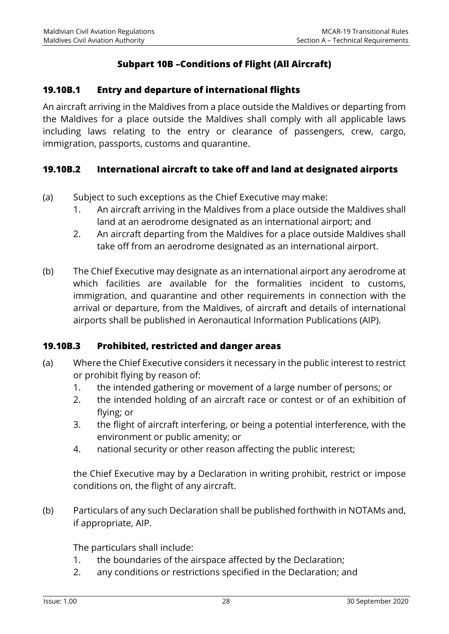### **Subpart 10B –Conditions of Flight (All Aircraft)**

#### **19.10B.1 Entry and departure of international flights**

An aircraft arriving in the Maldives from a place outside the Maldives or departing from the Maldives for a place outside the Maldives shall comply with all applicable laws including laws relating to the entry or clearance of passengers, crew, cargo, immigration, passports, customs and quarantine.

#### **19.10B.2 International aircraft to take off and land at designated airports**

- (a) Subject to such exceptions as the Chief Executive may make:
	- 1. An aircraft arriving in the Maldives from a place outside the Maldives shall land at an aerodrome designated as an international airport; and
	- 2. An aircraft departing from the Maldives for a place outside Maldives shall take off from an aerodrome designated as an international airport.
- (b) The Chief Executive may designate as an international airport any aerodrome at which facilities are available for the formalities incident to customs, immigration, and quarantine and other requirements in connection with the arrival or departure, from the Maldives, of aircraft and details of international airports shall be published in Aeronautical Information Publications (AIP).

#### **19.10B.3 Prohibited, restricted and danger areas**

- (a) Where the Chief Executive considers it necessary in the public interest to restrict or prohibit flying by reason of:
	- 1. the intended gathering or movement of a large number of persons; or
	- 2. the intended holding of an aircraft race or contest or of an exhibition of flying; or
	- 3. the flight of aircraft interfering, or being a potential interference, with the environment or public amenity; or
	- 4. national security or other reason affecting the public interest;

the Chief Executive may by a Declaration in writing prohibit, restrict or impose conditions on, the flight of any aircraft.

(b) Particulars of any such Declaration shall be published forthwith in NOTAMs and, if appropriate, AIP.

The particulars shall include:

- 1. the boundaries of the airspace affected by the Declaration;
- 2. any conditions or restrictions specified in the Declaration; and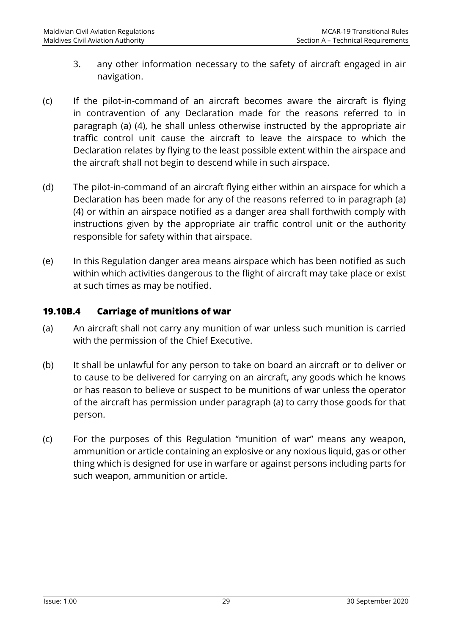- 3. any other information necessary to the safety of aircraft engaged in air navigation.
- (c) If the pilot-in-command of an aircraft becomes aware the aircraft is flying in contravention of any Declaration made for the reasons referred to in paragraph (a) (4), he shall unless otherwise instructed by the appropriate air traffic control unit cause the aircraft to leave the airspace to which the Declaration relates by flying to the least possible extent within the airspace and the aircraft shall not begin to descend while in such airspace.
- (d) The pilot-in-command of an aircraft flying either within an airspace for which a Declaration has been made for any of the reasons referred to in paragraph (a) (4) or within an airspace notified as a danger area shall forthwith comply with instructions given by the appropriate air traffic control unit or the authority responsible for safety within that airspace.
- (e) In this Regulation danger area means airspace which has been notified as such within which activities dangerous to the flight of aircraft may take place or exist at such times as may be notified.

#### **19.10B.4 Carriage of munitions of war**

- (a) An aircraft shall not carry any munition of war unless such munition is carried with the permission of the Chief Executive.
- (b) It shall be unlawful for any person to take on board an aircraft or to deliver or to cause to be delivered for carrying on an aircraft, any goods which he knows or has reason to believe or suspect to be munitions of war unless the operator of the aircraft has permission under paragraph (a) to carry those goods for that person.
- (c) For the purposes of this Regulation "munition of war" means any weapon, ammunition or article containing an explosive or any noxious liquid, gas or other thing which is designed for use in warfare or against persons including parts for such weapon, ammunition or article.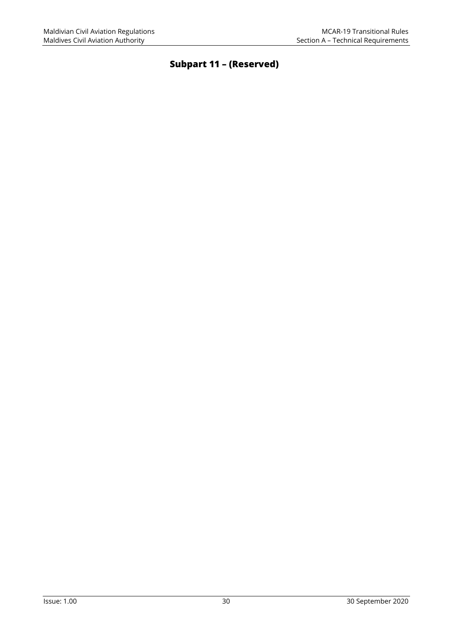## **Subpart 11 – (Reserved)**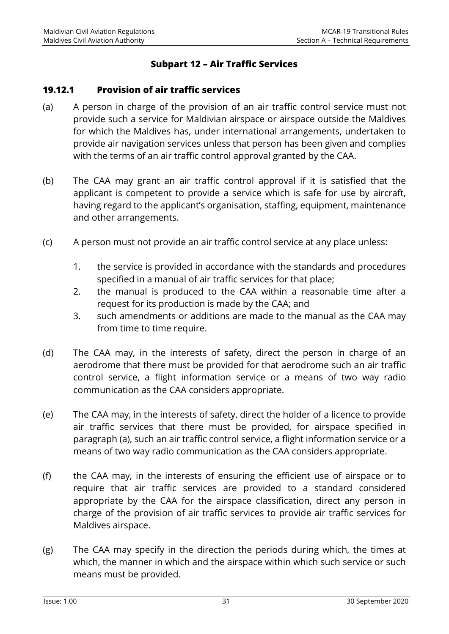#### **Subpart 12 – Air Traffic Services**

#### **19.12.1 Provision of air traffic services**

- (a) A person in charge of the provision of an air traffic control service must not provide such a service for Maldivian airspace or airspace outside the Maldives for which the Maldives has, under international arrangements, undertaken to provide air navigation services unless that person has been given and complies with the terms of an air traffic control approval granted by the CAA.
- (b) The CAA may grant an air traffic control approval if it is satisfied that the applicant is competent to provide a service which is safe for use by aircraft, having regard to the applicant's organisation, staffing, equipment, maintenance and other arrangements.
- (c) A person must not provide an air traffic control service at any place unless:
	- 1. the service is provided in accordance with the standards and procedures specified in a manual of air traffic services for that place;
	- 2. the manual is produced to the CAA within a reasonable time after a request for its production is made by the CAA; and
	- 3. such amendments or additions are made to the manual as the CAA may from time to time require.
- (d) The CAA may, in the interests of safety, direct the person in charge of an aerodrome that there must be provided for that aerodrome such an air traffic control service, a flight information service or a means of two way radio communication as the CAA considers appropriate.
- (e) The CAA may, in the interests of safety, direct the holder of a licence to provide air traffic services that there must be provided, for airspace specified in paragraph (a), such an air traffic control service, a flight information service or a means of two way radio communication as the CAA considers appropriate.
- (f) the CAA may, in the interests of ensuring the efficient use of airspace or to require that air traffic services are provided to a standard considered appropriate by the CAA for the airspace classification, direct any person in charge of the provision of air traffic services to provide air traffic services for Maldives airspace.
- (g) The CAA may specify in the direction the periods during which, the times at which, the manner in which and the airspace within which such service or such means must be provided.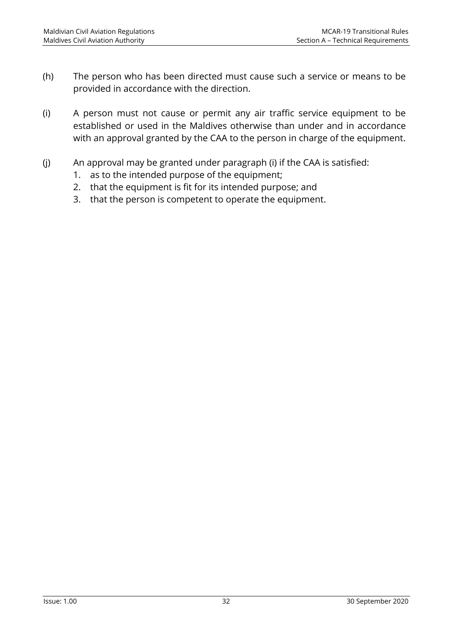- (h) The person who has been directed must cause such a service or means to be provided in accordance with the direction.
- (i) A person must not cause or permit any air traffic service equipment to be established or used in the Maldives otherwise than under and in accordance with an approval granted by the CAA to the person in charge of the equipment.
- (j) An approval may be granted under paragraph (i) if the CAA is satisfied:
	- 1. as to the intended purpose of the equipment;
	- 2. that the equipment is fit for its intended purpose; and
	- 3. that the person is competent to operate the equipment.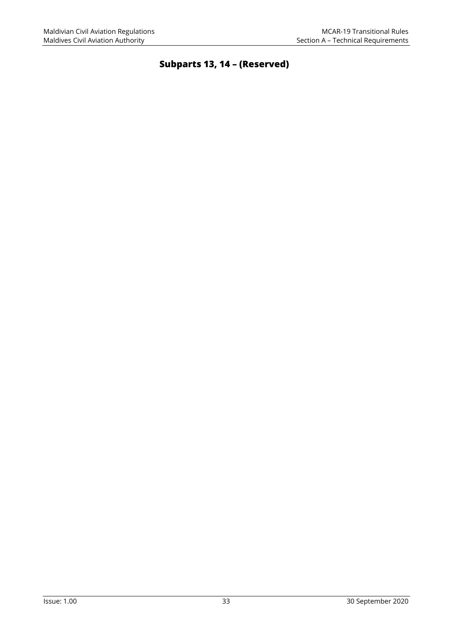## **Subparts 13, 14 – (Reserved)**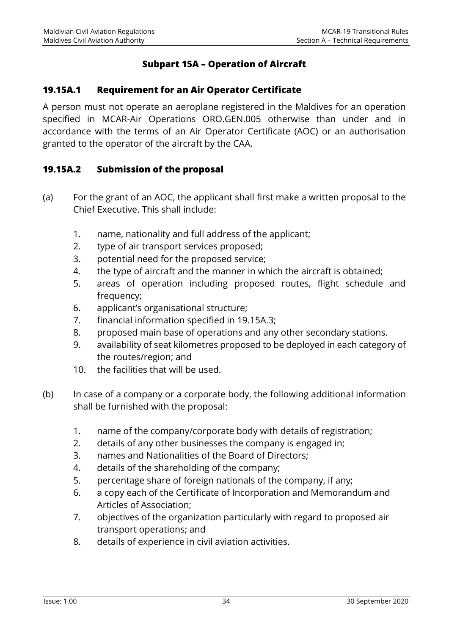#### **Subpart 15A – Operation of Aircraft**

#### **19.15A.1 Requirement for an Air Operator Certificate**

A person must not operate an aeroplane registered in the Maldives for an operation specified in MCAR-Air Operations ORO.GEN.005 otherwise than under and in accordance with the terms of an Air Operator Certificate (AOC) or an authorisation granted to the operator of the aircraft by the CAA.

#### **19.15A.2 Submission of the proposal**

- (a) For the grant of an AOC, the applicant shall first make a written proposal to the Chief Executive. This shall include:
	- 1. name, nationality and full address of the applicant;
	- 2. type of air transport services proposed;
	- 3. potential need for the proposed service;
	- 4. the type of aircraft and the manner in which the aircraft is obtained;
	- 5. areas of operation including proposed routes, flight schedule and frequency;
	- 6. applicant's organisational structure;
	- 7. financial information specified in 19.15A.3;
	- 8. proposed main base of operations and any other secondary stations.
	- 9. availability of seat kilometres proposed to be deployed in each category of the routes/region; and
	- 10. the facilities that will be used.
- (b) In case of a company or a corporate body, the following additional information shall be furnished with the proposal:
	- 1. name of the company/corporate body with details of registration;
	- 2. details of any other businesses the company is engaged in;
	- 3. names and Nationalities of the Board of Directors;
	- 4. details of the shareholding of the company;
	- 5. percentage share of foreign nationals of the company, if any;
	- 6. a copy each of the Certificate of Incorporation and Memorandum and Articles of Association;
	- 7. objectives of the organization particularly with regard to proposed air transport operations; and
	- 8. details of experience in civil aviation activities.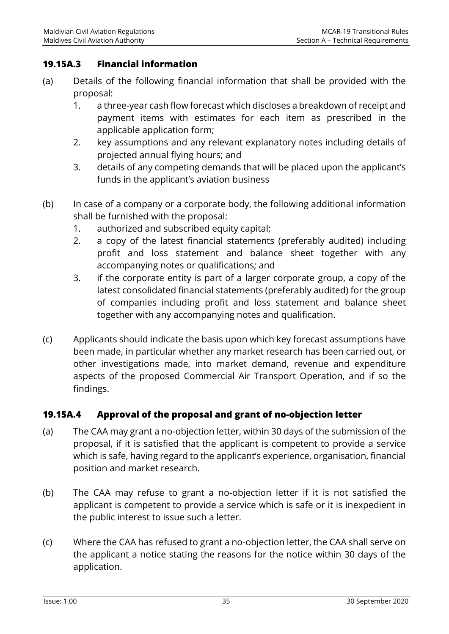#### **19.15A.3 Financial information**

- (a) Details of the following financial information that shall be provided with the proposal:
	- 1. a three-year cash flow forecast which discloses a breakdown of receipt and payment items with estimates for each item as prescribed in the applicable application form;
	- 2. key assumptions and any relevant explanatory notes including details of projected annual flying hours; and
	- 3. details of any competing demands that will be placed upon the applicant's funds in the applicant's aviation business
- (b) In case of a company or a corporate body, the following additional information shall be furnished with the proposal:
	- 1. authorized and subscribed equity capital;
	- 2. a copy of the latest financial statements (preferably audited) including profit and loss statement and balance sheet together with any accompanying notes or qualifications; and
	- 3. if the corporate entity is part of a larger corporate group, a copy of the latest consolidated financial statements (preferably audited) for the group of companies including profit and loss statement and balance sheet together with any accompanying notes and qualification.
- (c) Applicants should indicate the basis upon which key forecast assumptions have been made, in particular whether any market research has been carried out, or other investigations made, into market demand, revenue and expenditure aspects of the proposed Commercial Air Transport Operation, and if so the findings.

#### **19.15A.4 Approval of the proposal and grant of no-objection letter**

- (a) The CAA may grant a no-objection letter, within 30 days of the submission of the proposal, if it is satisfied that the applicant is competent to provide a service which is safe, having regard to the applicant's experience, organisation, financial position and market research.
- (b) The CAA may refuse to grant a no-objection letter if it is not satisfied the applicant is competent to provide a service which is safe or it is inexpedient in the public interest to issue such a letter.
- (c) Where the CAA has refused to grant a no-objection letter, the CAA shall serve on the applicant a notice stating the reasons for the notice within 30 days of the application.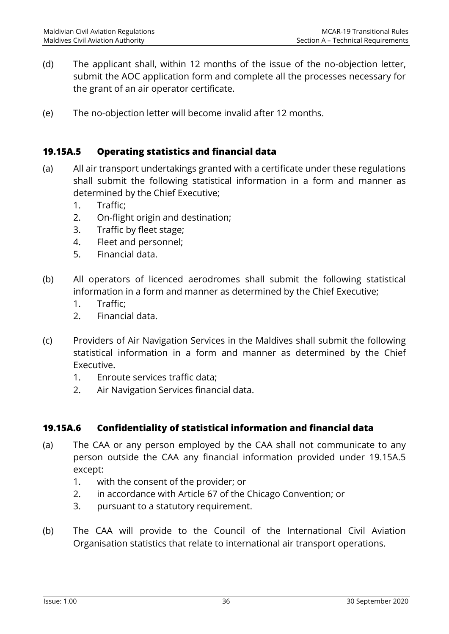- (d) The applicant shall, within 12 months of the issue of the no-objection letter, submit the AOC application form and complete all the processes necessary for the grant of an air operator certificate.
- (e) The no-objection letter will become invalid after 12 months.

#### **19.15A.5 Operating statistics and financial data**

- (a) All air transport undertakings granted with a certificate under these regulations shall submit the following statistical information in a form and manner as determined by the Chief Executive;
	- 1. Traffic;
	- 2. On-flight origin and destination;
	- 3. Traffic by fleet stage;
	- 4. Fleet and personnel;
	- 5. Financial data.
- (b) All operators of licenced aerodromes shall submit the following statistical information in a form and manner as determined by the Chief Executive;
	- 1. Traffic;
	- 2. Financial data.
- (c) Providers of Air Navigation Services in the Maldives shall submit the following statistical information in a form and manner as determined by the Chief Executive.
	- 1. Enroute services traffic data;
	- 2. Air Navigation Services financial data.

#### **19.15A.6 Confidentiality of statistical information and financial data**

- (a) The CAA or any person employed by the CAA shall not communicate to any person outside the CAA any financial information provided under 19.15A.5 except:
	- 1. with the consent of the provider; or
	- 2. in accordance with Article 67 of the Chicago Convention; or
	- 3. pursuant to a statutory requirement.
- (b) The CAA will provide to the Council of the International Civil Aviation Organisation statistics that relate to international air transport operations.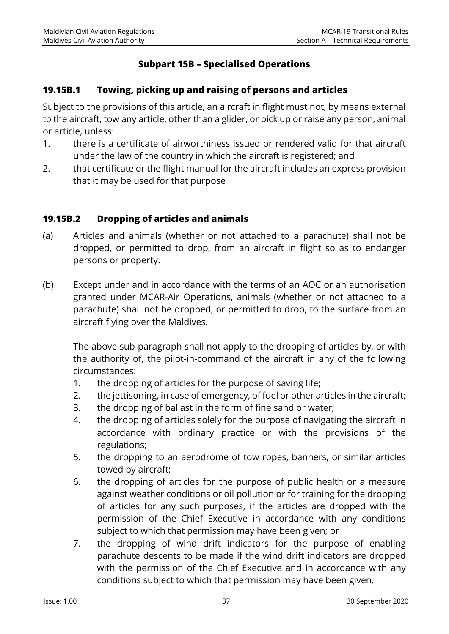#### **Subpart 15B – Specialised Operations**

#### **19.15B.1 Towing, picking up and raising of persons and articles**

Subject to the provisions of this article, an aircraft in flight must not, by means external to the aircraft, tow any article, other than a glider, or pick up or raise any person, animal or article, unless:

- 1. there is a certificate of airworthiness issued or rendered valid for that aircraft under the law of the country in which the aircraft is registered; and
- 2. that certificate or the flight manual for the aircraft includes an express provision that it may be used for that purpose

#### **19.15B.2 Dropping of articles and animals**

- (a) Articles and animals (whether or not attached to a parachute) shall not be dropped, or permitted to drop, from an aircraft in flight so as to endanger persons or property.
- (b) Except under and in accordance with the terms of an AOC or an authorisation granted under MCAR-Air Operations, animals (whether or not attached to a parachute) shall not be dropped, or permitted to drop, to the surface from an aircraft flying over the Maldives.

The above sub-paragraph shall not apply to the dropping of articles by, or with the authority of, the pilot-in-command of the aircraft in any of the following circumstances:

- 1. the dropping of articles for the purpose of saving life;
- 2. the jettisoning, in case of emergency, of fuel or other articles in the aircraft;
- 3. the dropping of ballast in the form of fine sand or water;
- 4. the dropping of articles solely for the purpose of navigating the aircraft in accordance with ordinary practice or with the provisions of the regulations;
- 5. the dropping to an aerodrome of tow ropes, banners, or similar articles towed by aircraft;
- 6. the dropping of articles for the purpose of public health or a measure against weather conditions or oil pollution or for training for the dropping of articles for any such purposes, if the articles are dropped with the permission of the Chief Executive in accordance with any conditions subject to which that permission may have been given; or
- 7. the dropping of wind drift indicators for the purpose of enabling parachute descents to be made if the wind drift indicators are dropped with the permission of the Chief Executive and in accordance with any conditions subject to which that permission may have been given.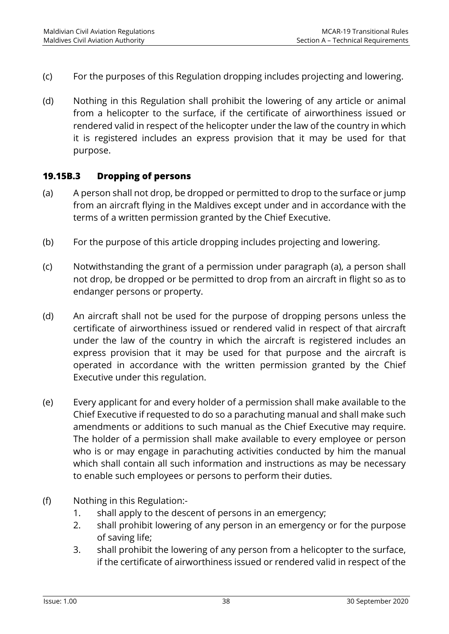- (c) For the purposes of this Regulation dropping includes projecting and lowering.
- (d) Nothing in this Regulation shall prohibit the lowering of any article or animal from a helicopter to the surface, if the certificate of airworthiness issued or rendered valid in respect of the helicopter under the law of the country in which it is registered includes an express provision that it may be used for that purpose.

#### **19.15B.3 Dropping of persons**

- (a) A person shall not drop, be dropped or permitted to drop to the surface or jump from an aircraft flying in the Maldives except under and in accordance with the terms of a written permission granted by the Chief Executive.
- (b) For the purpose of this article dropping includes projecting and lowering.
- (c) Notwithstanding the grant of a permission under paragraph (a), a person shall not drop, be dropped or be permitted to drop from an aircraft in flight so as to endanger persons or property.
- (d) An aircraft shall not be used for the purpose of dropping persons unless the certificate of airworthiness issued or rendered valid in respect of that aircraft under the law of the country in which the aircraft is registered includes an express provision that it may be used for that purpose and the aircraft is operated in accordance with the written permission granted by the Chief Executive under this regulation.
- (e) Every applicant for and every holder of a permission shall make available to the Chief Executive if requested to do so a parachuting manual and shall make such amendments or additions to such manual as the Chief Executive may require. The holder of a permission shall make available to every employee or person who is or may engage in parachuting activities conducted by him the manual which shall contain all such information and instructions as may be necessary to enable such employees or persons to perform their duties.
- (f) Nothing in this Regulation:-
	- 1. shall apply to the descent of persons in an emergency;
	- 2. shall prohibit lowering of any person in an emergency or for the purpose of saving life;
	- 3. shall prohibit the lowering of any person from a helicopter to the surface, if the certificate of airworthiness issued or rendered valid in respect of the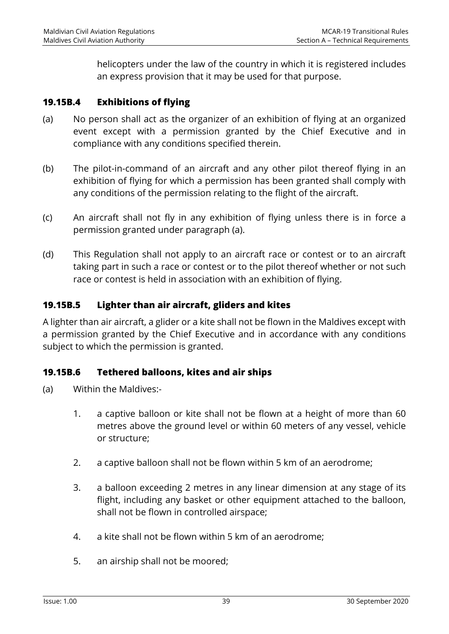helicopters under the law of the country in which it is registered includes an express provision that it may be used for that purpose.

#### **19.15B.4 Exhibitions of flying**

- (a) No person shall act as the organizer of an exhibition of flying at an organized event except with a permission granted by the Chief Executive and in compliance with any conditions specified therein.
- (b) The pilot-in-command of an aircraft and any other pilot thereof flying in an exhibition of flying for which a permission has been granted shall comply with any conditions of the permission relating to the flight of the aircraft.
- (c) An aircraft shall not fly in any exhibition of flying unless there is in force a permission granted under paragraph (a).
- (d) This Regulation shall not apply to an aircraft race or contest or to an aircraft taking part in such a race or contest or to the pilot thereof whether or not such race or contest is held in association with an exhibition of flying.

#### **19.15B.5 Lighter than air aircraft, gliders and kites**

A lighter than air aircraft, a glider or a kite shall not be flown in the Maldives except with a permission granted by the Chief Executive and in accordance with any conditions subject to which the permission is granted.

#### **19.15B.6 Tethered balloons, kites and air ships**

- (a) Within the Maldives:-
	- 1. a captive balloon or kite shall not be flown at a height of more than 60 metres above the ground level or within 60 meters of any vessel, vehicle or structure;
	- 2. a captive balloon shall not be flown within 5 km of an aerodrome;
	- 3. a balloon exceeding 2 metres in any linear dimension at any stage of its flight, including any basket or other equipment attached to the balloon, shall not be flown in controlled airspace;
	- 4. a kite shall not be flown within 5 km of an aerodrome;
	- 5. an airship shall not be moored;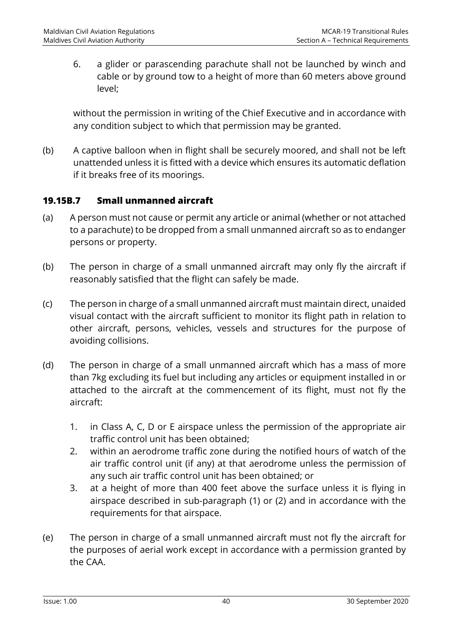6. a glider or parascending parachute shall not be launched by winch and cable or by ground tow to a height of more than 60 meters above ground level;

without the permission in writing of the Chief Executive and in accordance with any condition subject to which that permission may be granted.

(b) A captive balloon when in flight shall be securely moored, and shall not be left unattended unless it is fitted with a device which ensures its automatic deflation if it breaks free of its moorings.

#### **19.15B.7 Small unmanned aircraft**

- (a) A person must not cause or permit any article or animal (whether or not attached to a parachute) to be dropped from a small unmanned aircraft so as to endanger persons or property.
- (b) The person in charge of a small unmanned aircraft may only fly the aircraft if reasonably satisfied that the flight can safely be made.
- (c) The person in charge of a small unmanned aircraft must maintain direct, unaided visual contact with the aircraft sufficient to monitor its flight path in relation to other aircraft, persons, vehicles, vessels and structures for the purpose of avoiding collisions.
- (d) The person in charge of a small unmanned aircraft which has a mass of more than 7kg excluding its fuel but including any articles or equipment installed in or attached to the aircraft at the commencement of its flight, must not fly the aircraft:
	- 1. in Class A, C, D or E airspace unless the permission of the appropriate air traffic control unit has been obtained;
	- 2. within an aerodrome traffic zone during the notified hours of watch of the air traffic control unit (if any) at that aerodrome unless the permission of any such air traffic control unit has been obtained; or
	- 3. at a height of more than 400 feet above the surface unless it is flying in airspace described in sub-paragraph (1) or (2) and in accordance with the requirements for that airspace.
- (e) The person in charge of a small unmanned aircraft must not fly the aircraft for the purposes of aerial work except in accordance with a permission granted by the CAA.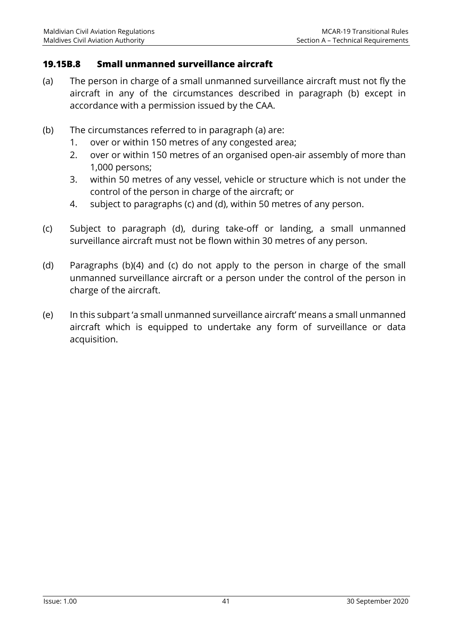#### **19.15B.8 Small unmanned surveillance aircraft**

- (a) The person in charge of a small unmanned surveillance aircraft must not fly the aircraft in any of the circumstances described in paragraph (b) except in accordance with a permission issued by the CAA.
- (b) The circumstances referred to in paragraph (a) are:
	- 1. over or within 150 metres of any congested area;
	- 2. over or within 150 metres of an organised open-air assembly of more than 1,000 persons;
	- 3. within 50 metres of any vessel, vehicle or structure which is not under the control of the person in charge of the aircraft; or
	- 4. subject to paragraphs (c) and (d), within 50 metres of any person.
- (c) Subject to paragraph (d), during take-off or landing, a small unmanned surveillance aircraft must not be flown within 30 metres of any person.
- (d) Paragraphs (b)(4) and (c) do not apply to the person in charge of the small unmanned surveillance aircraft or a person under the control of the person in charge of the aircraft.
- (e) In this subpart 'a small unmanned surveillance aircraft' means a small unmanned aircraft which is equipped to undertake any form of surveillance or data acquisition.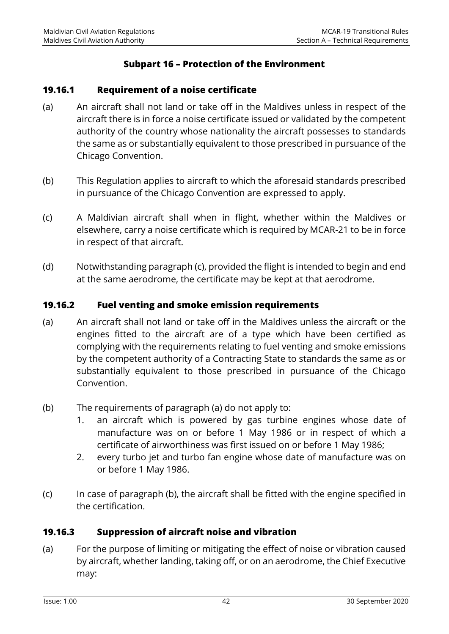#### **Subpart 16 – Protection of the Environment**

#### **19.16.1 Requirement of a noise certificate**

- (a) An aircraft shall not land or take off in the Maldives unless in respect of the aircraft there is in force a noise certificate issued or validated by the competent authority of the country whose nationality the aircraft possesses to standards the same as or substantially equivalent to those prescribed in pursuance of the Chicago Convention.
- (b) This Regulation applies to aircraft to which the aforesaid standards prescribed in pursuance of the Chicago Convention are expressed to apply.
- (c) A Maldivian aircraft shall when in flight, whether within the Maldives or elsewhere, carry a noise certificate which is required by MCAR-21 to be in force in respect of that aircraft.
- (d) Notwithstanding paragraph (c), provided the flight is intended to begin and end at the same aerodrome, the certificate may be kept at that aerodrome.

#### **19.16.2 Fuel venting and smoke emission requirements**

- (a) An aircraft shall not land or take off in the Maldives unless the aircraft or the engines fitted to the aircraft are of a type which have been certified as complying with the requirements relating to fuel venting and smoke emissions by the competent authority of a Contracting State to standards the same as or substantially equivalent to those prescribed in pursuance of the Chicago Convention.
- (b) The requirements of paragraph (a) do not apply to:
	- 1. an aircraft which is powered by gas turbine engines whose date of manufacture was on or before 1 May 1986 or in respect of which a certificate of airworthiness was first issued on or before 1 May 1986;
	- 2. every turbo jet and turbo fan engine whose date of manufacture was on or before 1 May 1986.
- (c) In case of paragraph (b), the aircraft shall be fitted with the engine specified in the certification.

#### **19.16.3 Suppression of aircraft noise and vibration**

(a) For the purpose of limiting or mitigating the effect of noise or vibration caused by aircraft, whether landing, taking off, or on an aerodrome, the Chief Executive may: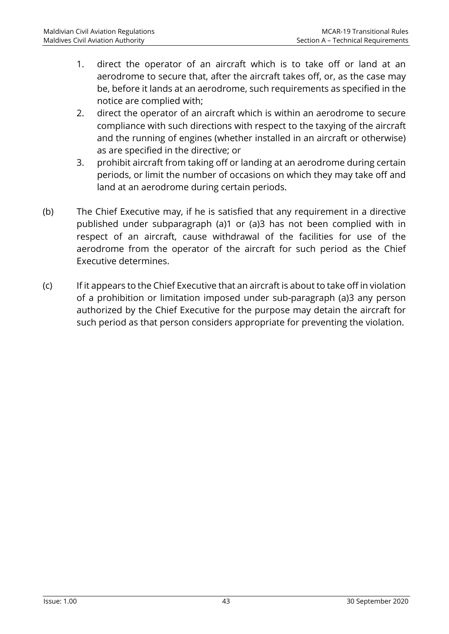- 1. direct the operator of an aircraft which is to take off or land at an aerodrome to secure that, after the aircraft takes off, or, as the case may be, before it lands at an aerodrome, such requirements as specified in the notice are complied with;
- 2. direct the operator of an aircraft which is within an aerodrome to secure compliance with such directions with respect to the taxying of the aircraft and the running of engines (whether installed in an aircraft or otherwise) as are specified in the directive; or
- 3. prohibit aircraft from taking off or landing at an aerodrome during certain periods, or limit the number of occasions on which they may take off and land at an aerodrome during certain periods.
- (b) The Chief Executive may, if he is satisfied that any requirement in a directive published under subparagraph (a)1 or (a)3 has not been complied with in respect of an aircraft, cause withdrawal of the facilities for use of the aerodrome from the operator of the aircraft for such period as the Chief Executive determines.
- (c) If it appears to the Chief Executive that an aircraft is about to take off in violation of a prohibition or limitation imposed under sub-paragraph (a)3 any person authorized by the Chief Executive for the purpose may detain the aircraft for such period as that person considers appropriate for preventing the violation.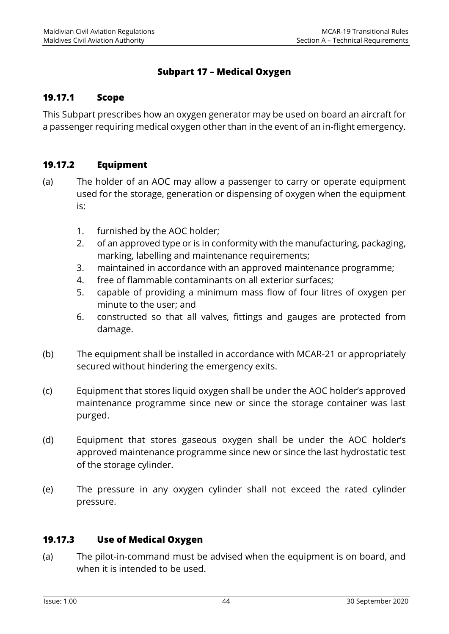#### **Subpart 17 – Medical Oxygen**

#### **19.17.1 Scope**

This Subpart prescribes how an oxygen generator may be used on board an aircraft for a passenger requiring medical oxygen other than in the event of an in-flight emergency.

#### **19.17.2 Equipment**

- (a) The holder of an AOC may allow a passenger to carry or operate equipment used for the storage, generation or dispensing of oxygen when the equipment is:
	- 1. furnished by the AOC holder;
	- 2. of an approved type or is in conformity with the manufacturing, packaging, marking, labelling and maintenance requirements;
	- 3. maintained in accordance with an approved maintenance programme;
	- 4. free of flammable contaminants on all exterior surfaces;
	- 5. capable of providing a minimum mass flow of four litres of oxygen per minute to the user; and
	- 6. constructed so that all valves, fittings and gauges are protected from damage.
- (b) The equipment shall be installed in accordance with MCAR-21 or appropriately secured without hindering the emergency exits.
- (c) Equipment that stores liquid oxygen shall be under the AOC holder's approved maintenance programme since new or since the storage container was last purged.
- (d) Equipment that stores gaseous oxygen shall be under the AOC holder's approved maintenance programme since new or since the last hydrostatic test of the storage cylinder.
- (e) The pressure in any oxygen cylinder shall not exceed the rated cylinder pressure.

#### **19.17.3 Use of Medical Oxygen**

(a) The pilot-in-command must be advised when the equipment is on board, and when it is intended to be used.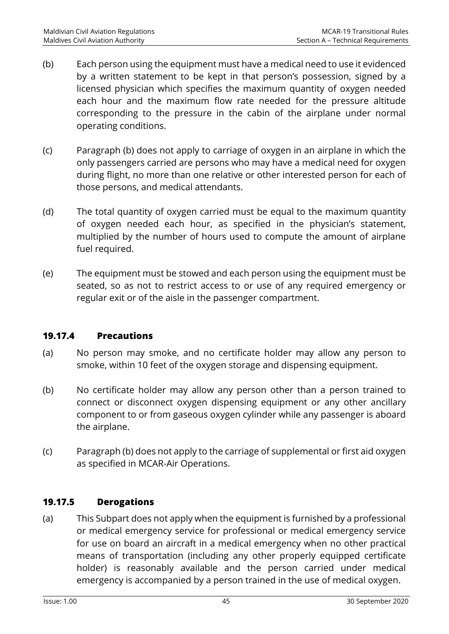- (b) Each person using the equipment must have a medical need to use it evidenced by a written statement to be kept in that person's possession, signed by a licensed physician which specifies the maximum quantity of oxygen needed each hour and the maximum flow rate needed for the pressure altitude corresponding to the pressure in the cabin of the airplane under normal operating conditions.
- (c) Paragraph (b) does not apply to carriage of oxygen in an airplane in which the only passengers carried are persons who may have a medical need for oxygen during flight, no more than one relative or other interested person for each of those persons, and medical attendants.
- (d) The total quantity of oxygen carried must be equal to the maximum quantity of oxygen needed each hour, as specified in the physician's statement, multiplied by the number of hours used to compute the amount of airplane fuel required.
- (e) The equipment must be stowed and each person using the equipment must be seated, so as not to restrict access to or use of any required emergency or regular exit or of the aisle in the passenger compartment.

#### **19.17.4 Precautions**

- (a) No person may smoke, and no certificate holder may allow any person to smoke, within 10 feet of the oxygen storage and dispensing equipment.
- (b) No certificate holder may allow any person other than a person trained to connect or disconnect oxygen dispensing equipment or any other ancillary component to or from gaseous oxygen cylinder while any passenger is aboard the airplane.
- (c) Paragraph (b) does not apply to the carriage of supplemental or first aid oxygen as specified in MCAR-Air Operations.

#### **19.17.5 Derogations**

(a) This Subpart does not apply when the equipment is furnished by a professional or medical emergency service for professional or medical emergency service for use on board an aircraft in a medical emergency when no other practical means of transportation (including any other properly equipped certificate holder) is reasonably available and the person carried under medical emergency is accompanied by a person trained in the use of medical oxygen.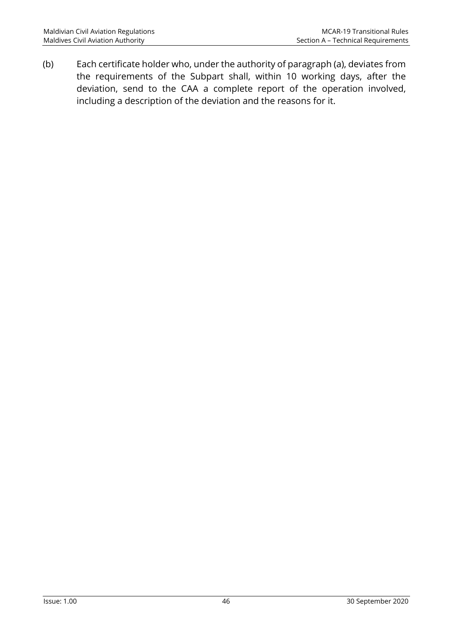(b) Each certificate holder who, under the authority of paragraph (a), deviates from the requirements of the Subpart shall, within 10 working days, after the deviation, send to the CAA a complete report of the operation involved, including a description of the deviation and the reasons for it.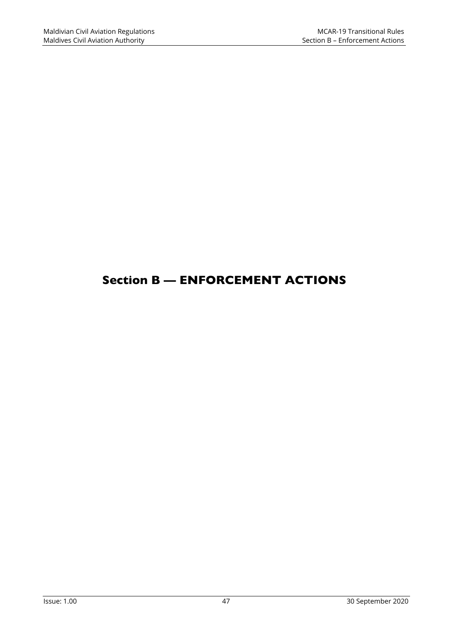# Section B — ENFORCEMENT ACTIONS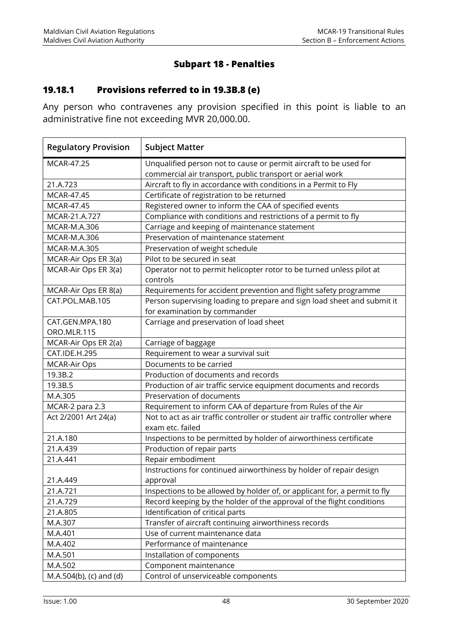## **Subpart 18 - Penalties**

## **19.18.1 Provisions referred to in 19.3B.8 (e)**

Any person who contravenes any provision specified in this point is liable to an administrative fine not exceeding MVR 20,000.00.

| <b>Regulatory Provision</b> | <b>Subject Matter</b>                                                                            |
|-----------------------------|--------------------------------------------------------------------------------------------------|
| <b>MCAR-47.25</b>           | Unqualified person not to cause or permit aircraft to be used for                                |
|                             | commercial air transport, public transport or aerial work                                        |
| 21.A.723                    | Aircraft to fly in accordance with conditions in a Permit to Fly                                 |
| MCAR-47.45                  | Certificate of registration to be returned                                                       |
| MCAR-47.45                  | Registered owner to inform the CAA of specified events                                           |
| MCAR-21, A.727              | Compliance with conditions and restrictions of a permit to fly                                   |
| MCAR-M.A.306                | Carriage and keeping of maintenance statement                                                    |
| MCAR-M.A.306                | Preservation of maintenance statement                                                            |
| MCAR-M.A.305                | Preservation of weight schedule                                                                  |
| MCAR-Air Ops ER 3(a)        | Pilot to be secured in seat                                                                      |
| MCAR-Air Ops ER 3(a)        | Operator not to permit helicopter rotor to be turned unless pilot at<br>controls                 |
| MCAR-Air Ops ER 8(a)        | Requirements for accident prevention and flight safety programme                                 |
| CAT.POL.MAB.105             | Person supervising loading to prepare and sign load sheet and submit it                          |
|                             | for examination by commander                                                                     |
| CAT.GEN.MPA.180             | Carriage and preservation of load sheet                                                          |
| ORO.MLR.115                 |                                                                                                  |
| MCAR-Air Ops ER 2(a)        | Carriage of baggage                                                                              |
| CAT.IDE.H.295               | Requirement to wear a survival suit                                                              |
| <b>MCAR-Air Ops</b>         | Documents to be carried                                                                          |
| 19.3B.2                     | Production of documents and records                                                              |
| 19.3B.5                     | Production of air traffic service equipment documents and records                                |
| M.A.305                     | Preservation of documents                                                                        |
| MCAR-2 para 2.3             | Requirement to inform CAA of departure from Rules of the Air                                     |
| Act 2/2001 Art 24(a)        | Not to act as air traffic controller or student air traffic controller where<br>exam etc. failed |
| 21.A.180                    | Inspections to be permitted by holder of airworthiness certificate                               |
| 21.A.439                    | Production of repair parts                                                                       |
| 21.A.441                    | Repair embodiment                                                                                |
|                             | Instructions for continued airworthiness by holder of repair design                              |
| 21.A.449                    | approval                                                                                         |
| 21.A.721                    | Inspections to be allowed by holder of, or applicant for, a permit to fly                        |
| 21.A.729                    | Record keeping by the holder of the approval of the flight conditions                            |
| 21.A.805                    | Identification of critical parts                                                                 |
| M.A.307                     | Transfer of aircraft continuing airworthiness records                                            |
| M.A.401                     | Use of current maintenance data                                                                  |
| M.A.402                     | Performance of maintenance                                                                       |
| M.A.501                     | Installation of components                                                                       |
| M.A.502                     | Component maintenance                                                                            |
| M.A.504(b), (c) and (d)     | Control of unserviceable components                                                              |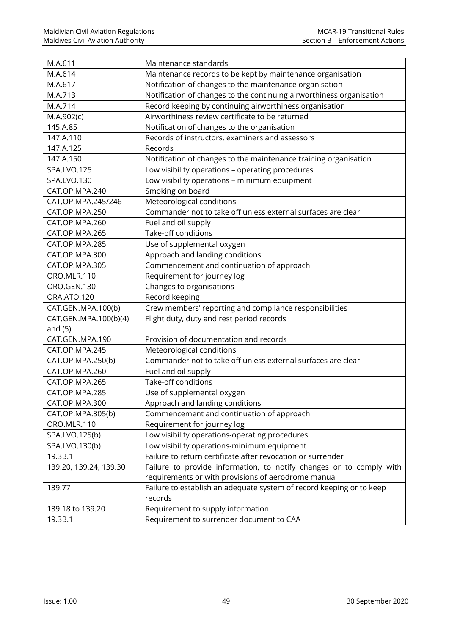| M.A.611                | Maintenance standards                                                |
|------------------------|----------------------------------------------------------------------|
| M.A.614                | Maintenance records to be kept by maintenance organisation           |
| M.A.617                | Notification of changes to the maintenance organisation              |
| M.A.713                | Notification of changes to the continuing airworthiness organisation |
| M.A.714                | Record keeping by continuing airworthiness organisation              |
| M.A.902(c)             | Airworthiness review certificate to be returned                      |
| 145.A.85               | Notification of changes to the organisation                          |
| 147.A.110              | Records of instructors, examiners and assessors                      |
| 147.A.125              | Records                                                              |
| 147.A.150              | Notification of changes to the maintenance training organisation     |
| SPA.LVO.125            | Low visibility operations - operating procedures                     |
| SPA.LVO.130            | Low visibility operations - minimum equipment                        |
| CAT.OP.MPA.240         | Smoking on board                                                     |
| CAT.OP.MPA.245/246     | Meteorological conditions                                            |
| CAT.OP.MPA.250         | Commander not to take off unless external surfaces are clear         |
| CAT.OP.MPA.260         | Fuel and oil supply                                                  |
| CAT.OP.MPA.265         | Take-off conditions                                                  |
| CAT.OP.MPA.285         | Use of supplemental oxygen                                           |
| CAT.OP.MPA.300         | Approach and landing conditions                                      |
| CAT.OP.MPA.305         | Commencement and continuation of approach                            |
| ORO.MLR.110            | Requirement for journey log                                          |
| ORO.GEN.130            | Changes to organisations                                             |
| ORA.ATO.120            | Record keeping                                                       |
| CAT.GEN.MPA.100(b)     | Crew members' reporting and compliance responsibilities              |
| CAT.GEN.MPA.100(b)(4)  | Flight duty, duty and rest period records                            |
| and $(5)$              |                                                                      |
| CAT.GEN.MPA.190        | Provision of documentation and records                               |
| CAT.OP.MPA.245         | Meteorological conditions                                            |
| CAT.OP.MPA.250(b)      | Commander not to take off unless external surfaces are clear         |
| CAT.OP.MPA.260         | Fuel and oil supply                                                  |
| CAT.OP.MPA.265         | Take-off conditions                                                  |
| CAT.OP.MPA.285         | Use of supplemental oxygen                                           |
| CAT.OP.MPA.300         | Approach and landing conditions                                      |
| CAT.OP.MPA.305(b)      | Commencement and continuation of approach                            |
| ORO.MLR.110            | Requirement for journey log                                          |
| SPA.LVO.125(b)         | Low visibility operations-operating procedures                       |
| SPA.LVO.130(b)         | Low visibility operations-minimum equipment                          |
| 19.3B.1                | Failure to return certificate after revocation or surrender          |
| 139.20, 139.24, 139.30 | Failure to provide information, to notify changes or to comply with  |
|                        | requirements or with provisions of aerodrome manual                  |
| 139.77                 | Failure to establish an adequate system of record keeping or to keep |
|                        | records                                                              |
| 139.18 to 139.20       | Requirement to supply information                                    |
| 19.3B.1                | Requirement to surrender document to CAA                             |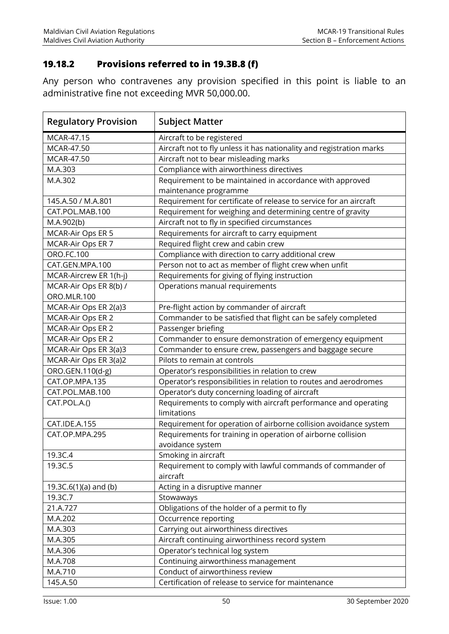#### **19.18.2 Provisions referred to in 19.3B.8 (f)**

Any person who contravenes any provision specified in this point is liable to an administrative fine not exceeding MVR 50,000.00.

| <b>Regulatory Provision</b> | <b>Subject Matter</b>                                                |
|-----------------------------|----------------------------------------------------------------------|
| MCAR-47.15                  | Aircraft to be registered                                            |
| MCAR-47.50                  | Aircraft not to fly unless it has nationality and registration marks |
| MCAR-47.50                  | Aircraft not to bear misleading marks                                |
| M.A.303                     | Compliance with airworthiness directives                             |
| M.A.302                     | Requirement to be maintained in accordance with approved             |
|                             | maintenance programme                                                |
| 145.A.50 / M.A.801          | Requirement for certificate of release to service for an aircraft    |
| CAT.POL.MAB.100             | Requirement for weighing and determining centre of gravity           |
| M.A.902(b)                  | Aircraft not to fly in specified circumstances                       |
| MCAR-Air Ops ER 5           | Requirements for aircraft to carry equipment                         |
| MCAR-Air Ops ER 7           | Required flight crew and cabin crew                                  |
| ORO.FC.100                  | Compliance with direction to carry additional crew                   |
| CAT.GEN.MPA.100             | Person not to act as member of flight crew when unfit                |
| MCAR-Aircrew ER 1(h-j)      | Requirements for giving of flying instruction                        |
| MCAR-Air Ops ER 8(b) /      | Operations manual requirements                                       |
| ORO.MLR.100                 |                                                                      |
| MCAR-Air Ops ER 2(a)3       | Pre-flight action by commander of aircraft                           |
| MCAR-Air Ops ER 2           | Commander to be satisfied that flight can be safely completed        |
| MCAR-Air Ops ER 2           | Passenger briefing                                                   |
| MCAR-Air Ops ER 2           | Commander to ensure demonstration of emergency equipment             |
| MCAR-Air Ops ER 3(a)3       | Commander to ensure crew, passengers and baggage secure              |
| MCAR-Air Ops ER 3(a)2       | Pilots to remain at controls                                         |
| ORO.GEN.110(d-g)            | Operator's responsibilities in relation to crew                      |
| CAT.OP.MPA.135              | Operator's responsibilities in relation to routes and aerodromes     |
| CAT.POL.MAB.100             | Operator's duty concerning loading of aircraft                       |
| CAT.POL.A.()                | Requirements to comply with aircraft performance and operating       |
|                             | limitations                                                          |
| CAT.IDE.A.155               | Requirement for operation of airborne collision avoidance system     |
| CAT.OP.MPA.295              | Requirements for training in operation of airborne collision         |
|                             | avoidance system                                                     |
| 19.3C.4                     | Smoking in aircraft                                                  |
| 19.3C.5                     | Requirement to comply with lawful commands of commander of           |
|                             | aircraft                                                             |
| 19.3C.6(1)(a) and (b)       | Acting in a disruptive manner                                        |
| 19.3C.7                     | Stowaways                                                            |
| 21.A.727                    | Obligations of the holder of a permit to fly                         |
| M.A.202                     | Occurrence reporting                                                 |
| M.A.303                     | Carrying out airworthiness directives                                |
| M.A.305                     | Aircraft continuing airworthiness record system                      |
| M.A.306                     | Operator's technical log system                                      |
| M.A.708                     | Continuing airworthiness management                                  |
| M.A.710                     | Conduct of airworthiness review                                      |
| 145.A.50                    | Certification of release to service for maintenance                  |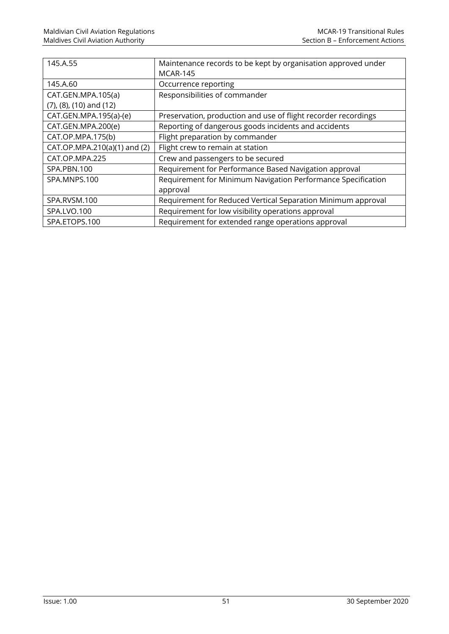| 145.A.55                          | Maintenance records to be kept by organisation approved under  |
|-----------------------------------|----------------------------------------------------------------|
|                                   | <b>MCAR-145</b>                                                |
| 145.A.60                          | Occurrence reporting                                           |
| CAT.GEN.MPA.105(a)                | Responsibilities of commander                                  |
| $(7)$ , $(8)$ , $(10)$ and $(12)$ |                                                                |
| CAT.GEN.MPA.195(a)-(e)            | Preservation, production and use of flight recorder recordings |
| CAT.GEN.MPA.200(e)                | Reporting of dangerous goods incidents and accidents           |
| CAT.OP.MPA.175(b)                 | Flight preparation by commander                                |
| CAT.OP.MPA.210(a)(1) and (2)      | Flight crew to remain at station                               |
| CAT.OP.MPA.225                    | Crew and passengers to be secured                              |
| SPA.PBN.100                       | Requirement for Performance Based Navigation approval          |
| SPA.MNPS.100                      | Requirement for Minimum Navigation Performance Specification   |
|                                   | approval                                                       |
| SPA.RVSM.100                      | Requirement for Reduced Vertical Separation Minimum approval   |
| SPA.LVO.100                       | Requirement for low visibility operations approval             |
| SPA.ETOPS.100                     | Requirement for extended range operations approval             |